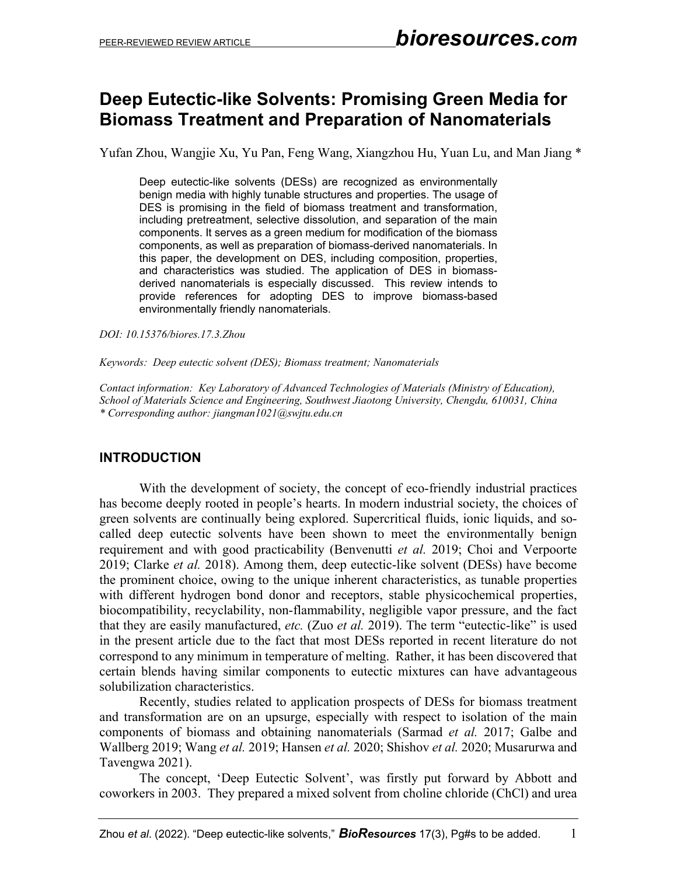## **Deep Eutectic-like Solvents: Promising Green Media for Biomass Treatment and Preparation of Nanomaterials**

Yufan Zhou, Wangjie Xu, Yu Pan, Feng Wang, Xiangzhou Hu, Yuan Lu, and Man Jiang \*

Deep eutectic-like solvents (DESs) are recognized as environmentally benign media with highly tunable structures and properties. The usage of DES is promising in the field of biomass treatment and transformation, including pretreatment, selective dissolution, and separation of the main components. It serves as a green medium for modification of the biomass components, as well as preparation of biomass-derived nanomaterials. In this paper, the development on DES, including composition, properties, and characteristics was studied. The application of DES in biomassderived nanomaterials is especially discussed. This review intends to provide references for adopting DES to improve biomass-based environmentally friendly nanomaterials.

*DOI: 10.15376/biores.17.3.Zhou*

*Keywords: Deep eutectic solvent (DES); Biomass treatment; Nanomaterials*

*Contact information: Key Laboratory of Advanced Technologies of Materials (Ministry of Education), School of Materials Science and Engineering, Southwest Jiaotong University, Chengdu, 610031, China \* Corresponding author: jiangman1021@swjtu.edu.cn*

#### **INTRODUCTION**

With the development of society, the concept of eco-friendly industrial practices has become deeply rooted in people's hearts. In modern industrial society, the choices of green solvents are continually being explored. Supercritical fluids, ionic liquids, and socalled deep eutectic solvents have been shown to meet the environmentally benign requirement and with good practicability (Benvenutti *et al.* 2019; Choi and Verpoorte 2019; Clarke *et al.* 2018). Among them, deep eutectic-like solvent (DESs) have become the prominent choice, owing to the unique inherent characteristics, as tunable properties with different hydrogen bond donor and receptors, stable physicochemical properties, biocompatibility, recyclability, non-flammability, negligible vapor pressure, and the fact that they are easily manufactured, *etc.* (Zuo *et al.* 2019). The term "eutectic-like" is used in the present article due to the fact that most DESs reported in recent literature do not correspond to any minimum in temperature of melting. Rather, it has been discovered that certain blends having similar components to eutectic mixtures can have advantageous solubilization characteristics.

Recently, studies related to application prospects of DESs for biomass treatment and transformation are on an upsurge, especially with respect to isolation of the main components of biomass and obtaining nanomaterials (Sarmad *et al.* 2017; Galbe and Wallberg 2019; Wang *et al.* 2019; Hansen *et al.* 2020; Shishov *et al.* 2020; Musarurwa and Tavengwa 2021).

The concept, 'Deep Eutectic Solvent', was firstly put forward by Abbott and coworkers in 2003. They prepared a mixed solvent from choline chloride (ChCl) and urea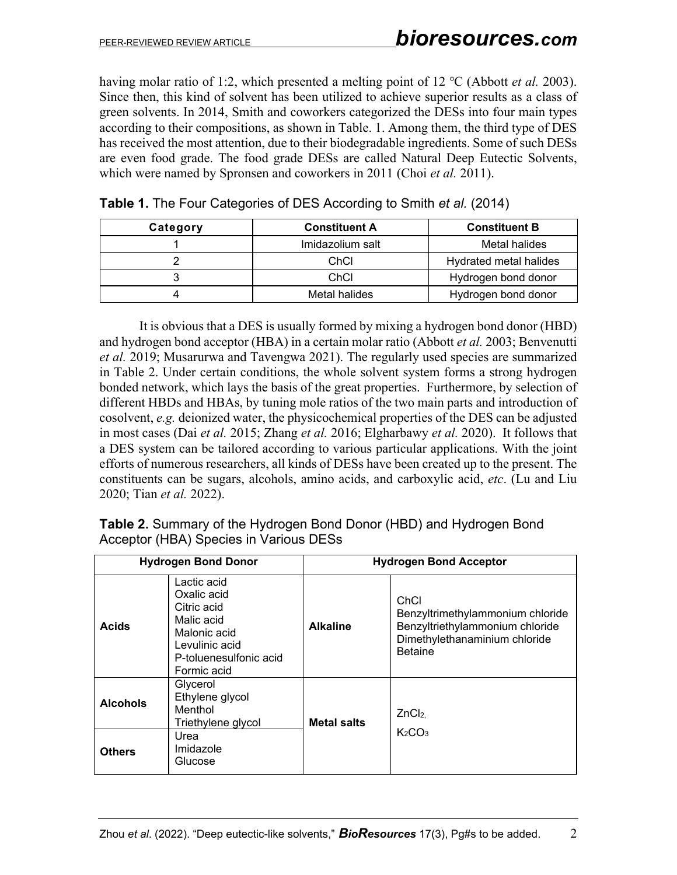having molar ratio of 1:2, which presented a melting point of 12 ℃ (Abbott *et al.* 2003). Since then, this kind of solvent has been utilized to achieve superior results as a class of green solvents. In 2014, Smith and coworkers categorized the DESs into four main types according to their compositions, as shown in Table. 1. Among them, the third type of DES has received the most attention, due to their biodegradable ingredients. Some of such DESs are even food grade. The food grade DESs are called Natural Deep Eutectic Solvents, which were named by Spronsen and coworkers in 2011 (Choi *et al.* 2011).

| Category | <b>Constituent A</b> | <b>Constituent B</b>   |
|----------|----------------------|------------------------|
|          | Imidazolium salt     | Metal halides          |
|          | ChCl                 | Hydrated metal halides |
|          | ChCl                 | Hydrogen bond donor    |
|          | Metal halides        | Hydrogen bond donor    |

|  |  | Table 1. The Four Categories of DES According to Smith et al. (2014) |  |
|--|--|----------------------------------------------------------------------|--|
|--|--|----------------------------------------------------------------------|--|

It is obvious that a DES is usually formed by mixing a hydrogen bond donor (HBD) and hydrogen bond acceptor (HBA) in a certain molar ratio (Abbott *et al.* 2003; Benvenutti *et al.* 2019; Musarurwa and Tavengwa 2021). The regularly used species are summarized in Table 2. Under certain conditions, the whole solvent system forms a strong hydrogen bonded network, which lays the basis of the great properties. Furthermore, by selection of different HBDs and HBAs, by tuning mole ratios of the two main parts and introduction of cosolvent, *e.g.* deionized water, the physicochemical properties of the DES can be adjusted in most cases (Dai *et al.* 2015; Zhang *et al.* 2016; Elgharbawy *et al.* 2020). It follows that a DES system can be tailored according to various particular applications. With the joint efforts of numerous researchers, all kinds of DESs have been created up to the present. The constituents can be sugars, alcohols, amino acids, and carboxylic acid, *etc*. (Lu and Liu 2020; Tian *et al.* 2022).

|  | <b>Table 2.</b> Summary of the Hydrogen Bond Donor (HBD) and Hydrogen Bond |  |  |  |  |
|--|----------------------------------------------------------------------------|--|--|--|--|
|  | Acceptor (HBA) Species in Various DESs                                     |  |  |  |  |

|                 | <b>Hydrogen Bond Donor</b>                                                                                                         | <b>Hydrogen Bond Acceptor</b> |                                                                                                                                |  |  |
|-----------------|------------------------------------------------------------------------------------------------------------------------------------|-------------------------------|--------------------------------------------------------------------------------------------------------------------------------|--|--|
| <b>Acids</b>    | Lactic acid<br>Oxalic acid<br>Citric acid<br>Malic acid<br>Malonic acid<br>Levulinic acid<br>P-toluenesulfonic acid<br>Formic acid | <b>Alkaline</b>               | ChCl<br>Benzyltrimethylammonium chloride<br>Benzyltriethylammonium chloride<br>Dimethylethanaminium chloride<br><b>Betaine</b> |  |  |
| <b>Alcohols</b> | Glycerol<br>Ethylene glycol<br>Menthol<br>Triethylene glycol                                                                       | <b>Metal salts</b>            | ZnCl <sub>2</sub><br>K <sub>2</sub> CO <sub>3</sub>                                                                            |  |  |
| <b>Others</b>   | Urea<br>Imidazole<br>Glucose                                                                                                       |                               |                                                                                                                                |  |  |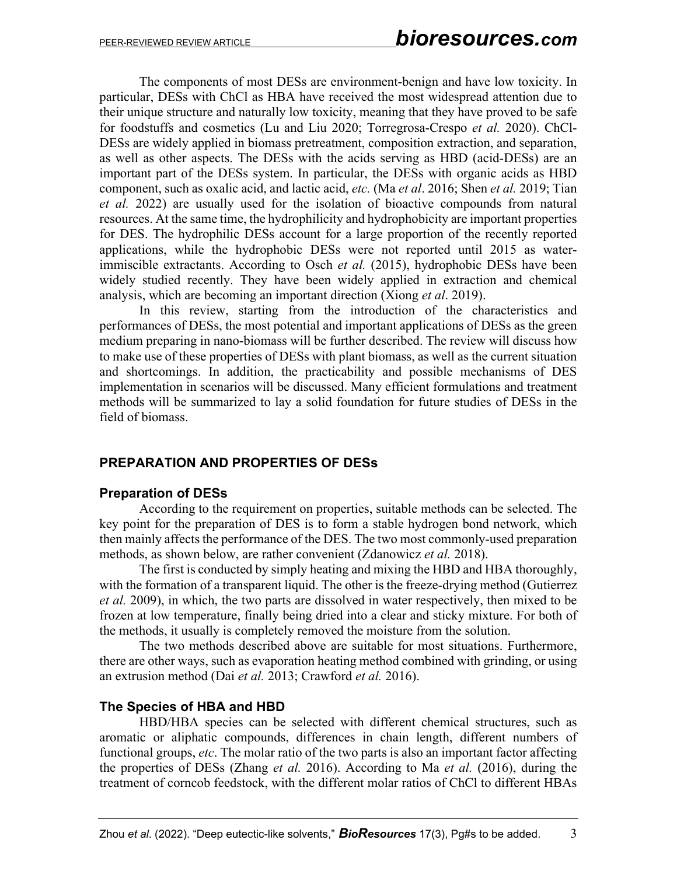The components of most DESs are environment-benign and have low toxicity. In particular, DESs with ChCl as HBA have received the most widespread attention due to their unique structure and naturally low toxicity, meaning that they have proved to be safe for foodstuffs and cosmetics (Lu and Liu 2020; Torregrosa-Crespo *et al.* 2020). ChCl-DESs are widely applied in biomass pretreatment, composition extraction, and separation, as well as other aspects. The DESs with the acids serving as HBD (acid-DESs) are an important part of the DESs system. In particular, the DESs with organic acids as HBD component, such as oxalic acid, and lactic acid, *etc.* (Ma *et al*. 2016; Shen *et al.* 2019; Tian *et al.* 2022) are usually used for the isolation of bioactive compounds from natural resources. At the same time, the hydrophilicity and hydrophobicity are important properties for DES. The hydrophilic DESs account for a large proportion of the recently reported applications, while the hydrophobic DESs were not reported until 2015 as waterimmiscible extractants. According to Osch *et al.* (2015), hydrophobic DESs have been widely studied recently. They have been widely applied in extraction and chemical analysis, which are becoming an important direction (Xiong *et al*. 2019).

In this review, starting from the introduction of the characteristics and performances of DESs, the most potential and important applications of DESs as the green medium preparing in nano-biomass will be further described. The review will discuss how to make use of these properties of DESs with plant biomass, as well as the current situation and shortcomings. In addition, the practicability and possible mechanisms of DES implementation in scenarios will be discussed. Many efficient formulations and treatment methods will be summarized to lay a solid foundation for future studies of DESs in the field of biomass.

## **PREPARATION AND PROPERTIES OF DESs**

#### **Preparation of DESs**

According to the requirement on properties, suitable methods can be selected. The key point for the preparation of DES is to form a stable hydrogen bond network, which then mainly affects the performance of the DES. The two most commonly-used preparation methods, as shown below, are rather convenient (Zdanowicz *et al.* 2018).

The first is conducted by simply heating and mixing the HBD and HBA thoroughly, with the formation of a transparent liquid. The other is the freeze-drying method (Gutierrez *et al.* 2009), in which, the two parts are dissolved in water respectively, then mixed to be frozen at low temperature, finally being dried into a clear and sticky mixture. For both of the methods, it usually is completely removed the moisture from the solution.

The two methods described above are suitable for most situations. Furthermore, there are other ways, such as evaporation heating method combined with grinding, or using an extrusion method (Dai *et al.* 2013; Crawford *et al.* 2016).

## **The Species of HBA and HBD**

HBD/HBA species can be selected with different chemical structures, such as aromatic or aliphatic compounds, differences in chain length, different numbers of functional groups, *etc*. The molar ratio of the two parts is also an important factor affecting the properties of DESs (Zhang *et al.* 2016). According to Ma *et al.* (2016), during the treatment of corncob feedstock, with the different molar ratios of ChCl to different HBAs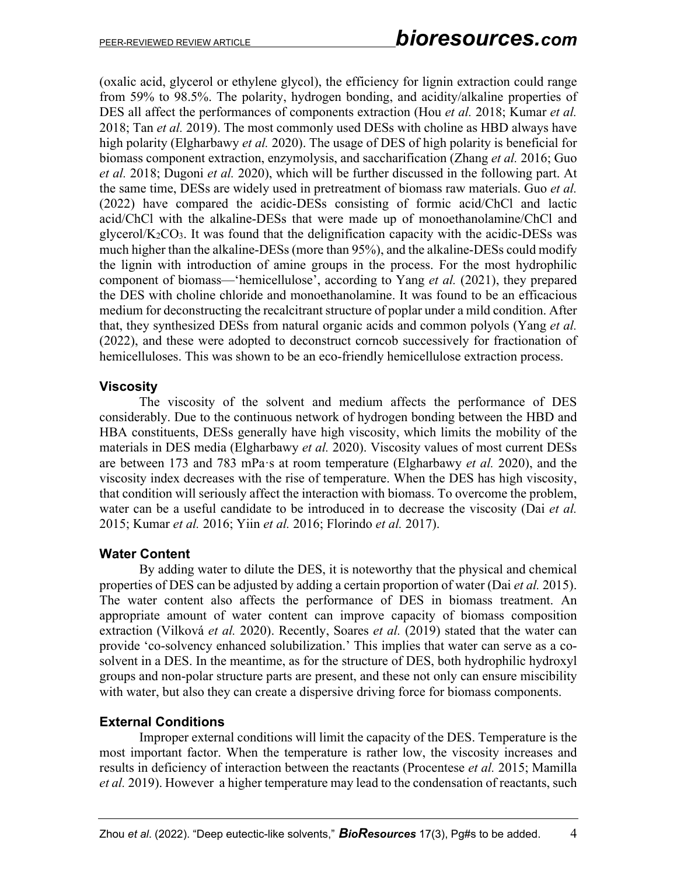(oxalic acid, glycerol or ethylene glycol), the efficiency for lignin extraction could range from 59% to 98.5%. The polarity, hydrogen bonding, and acidity/alkaline properties of DES all affect the performances of components extraction (Hou *et al.* 2018; Kumar *et al.* 2018; Tan *et al.* 2019). The most commonly used DESs with choline as HBD always have high polarity (Elgharbawy *et al.* 2020). The usage of DES of high polarity is beneficial for biomass component extraction, enzymolysis, and saccharification (Zhang *et al.* 2016; Guo *et al.* 2018; Dugoni *et al.* 2020), which will be further discussed in the following part. At the same time, DESs are widely used in pretreatment of biomass raw materials. Guo *et al.* (2022) have compared the acidic-DESs consisting of formic acid/ChCl and lactic acid/ChCl with the alkaline-DESs that were made up of monoethanolamine/ChCl and glycerol/ $K_2CO_3$ . It was found that the delignification capacity with the acidic-DESs was much higher than the alkaline-DESs (more than 95%), and the alkaline-DESs could modify the lignin with introduction of amine groups in the process. For the most hydrophilic component of biomass—'hemicellulose', according to Yang *et al.* (2021), they prepared the DES with choline chloride and monoethanolamine. It was found to be an efficacious medium for deconstructing the recalcitrant structure of poplar under a mild condition. After that, they synthesized DESs from natural organic acids and common polyols (Yang *et al.* (2022), and these were adopted to deconstruct corncob successively for fractionation of hemicelluloses. This was shown to be an eco-friendly hemicellulose extraction process.

## **Viscosity**

The viscosity of the solvent and medium affects the performance of DES considerably. Due to the continuous network of hydrogen bonding between the HBD and HBA constituents, DESs generally have high viscosity, which limits the mobility of the materials in DES media (Elgharbawy *et al.* 2020). Viscosity values of most current DESs are between 173 and 783 mPa·s at room temperature (Elgharbawy *et al.* 2020), and the viscosity index decreases with the rise of temperature. When the DES has high viscosity, that condition will seriously affect the interaction with biomass. To overcome the problem, water can be a useful candidate to be introduced in to decrease the viscosity (Dai *et al.* 2015; Kumar *et al.* 2016; Yiin *et al.* 2016; Florindo *et al.* 2017).

## **Water Content**

By adding water to dilute the DES, it is noteworthy that the physical and chemical properties of DES can be adjusted by adding a certain proportion of water (Dai *et al.* 2015). The water content also affects the performance of DES in biomass treatment. An appropriate amount of water content can improve capacity of biomass composition extraction (Vilková *et al.* 2020). Recently, Soares *et al.* (2019) stated that the water can provide 'co-solvency enhanced solubilization.' This implies that water can serve as a cosolvent in a DES. In the meantime, as for the structure of DES, both hydrophilic hydroxyl groups and non-polar structure parts are present, and these not only can ensure miscibility with water, but also they can create a dispersive driving force for biomass components.

## **External Conditions**

Improper external conditions will limit the capacity of the DES. Temperature is the most important factor. When the temperature is rather low, the viscosity increases and results in deficiency of interaction between the reactants (Procentese *et al.* 2015; Mamilla *et al.* 2019). However a higher temperature may lead to the condensation of reactants, such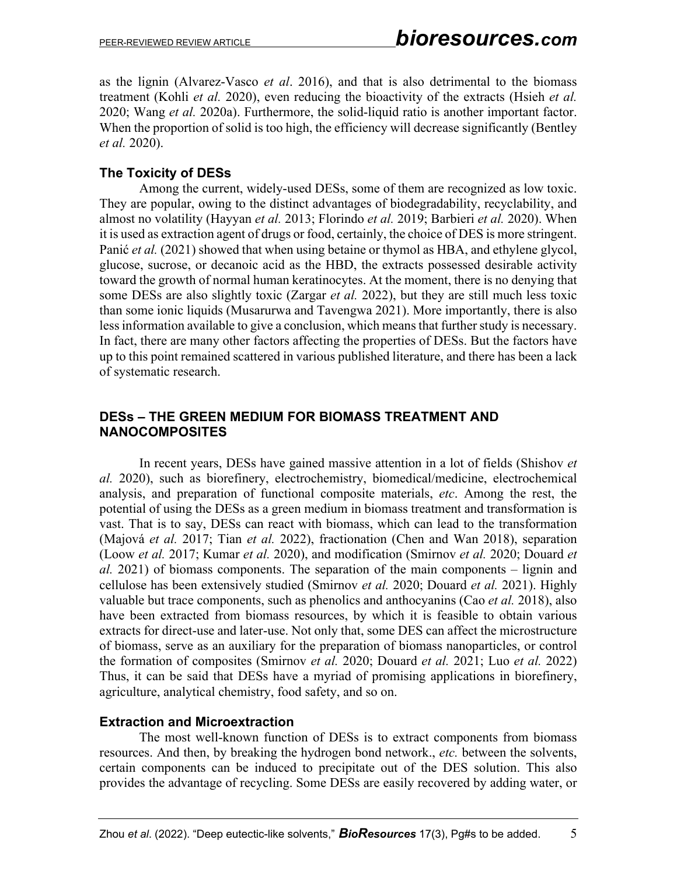as the lignin (Alvarez-Vasco *et al*. 2016), and that is also detrimental to the biomass treatment (Kohli *et al.* 2020), even reducing the bioactivity of the extracts (Hsieh *et al.* 2020; Wang *et al.* 2020a). Furthermore, the solid-liquid ratio is another important factor. When the proportion of solid is too high, the efficiency will decrease significantly (Bentley *et al.* 2020).

## **The Toxicity of DESs**

Among the current, widely-used DESs, some of them are recognized as low toxic. They are popular, owing to the distinct advantages of biodegradability, recyclability, and almost no volatility (Hayyan *et al.* 2013; Florindo *et al.* 2019; Barbieri *et al.* 2020). When it is used as extraction agent of drugs or food, certainly, the choice of DES is more stringent. Panić *et al.* (2021) showed that when using betaine or thymol as HBA, and ethylene glycol, glucose, sucrose, or decanoic acid as the HBD, the extracts possessed desirable activity toward the growth of normal human keratinocytes. At the moment, there is no denying that some DESs are also slightly toxic (Zargar *et al.* 2022), but they are still much less toxic than some ionic liquids (Musarurwa and Tavengwa 2021). More importantly, there is also less information available to give a conclusion, which means that further study is necessary. In fact, there are many other factors affecting the properties of DESs. But the factors have up to this point remained scattered in various published literature, and there has been a lack of systematic research.

## **DESs – THE GREEN MEDIUM FOR BIOMASS TREATMENT AND NANOCOMPOSITES**

In recent years, DESs have gained massive attention in a lot of fields (Shishov *et al.* 2020), such as biorefinery, electrochemistry, biomedical/medicine, electrochemical analysis, and preparation of functional composite materials, *etc*. Among the rest, the potential of using the DESs as a green medium in biomass treatment and transformation is vast. That is to say, DESs can react with biomass, which can lead to the transformation (Majová *et al.* 2017; Tian *et al.* 2022), fractionation (Chen and Wan 2018), separation (Loow *et al.* 2017; Kumar *et al.* 2020), and modification (Smirnov *et al.* 2020; Douard *et al.* 2021) of biomass components. The separation of the main components – lignin and cellulose has been extensively studied (Smirnov *et al.* 2020; Douard *et al.* 2021). Highly valuable but trace components, such as phenolics and anthocyanins (Cao *et al.* 2018), also have been extracted from biomass resources, by which it is feasible to obtain various extracts for direct-use and later-use. Not only that, some DES can affect the microstructure of biomass, serve as an auxiliary for the preparation of biomass nanoparticles, or control the formation of composites (Smirnov *et al.* 2020; Douard *et al.* 2021; Luo *et al.* 2022) Thus, it can be said that DESs have a myriad of promising applications in biorefinery, agriculture, analytical chemistry, food safety, and so on.

## **Extraction and Microextraction**

The most well-known function of DESs is to extract components from biomass resources. And then, by breaking the hydrogen bond network., *etc.* between the solvents, certain components can be induced to precipitate out of the DES solution. This also provides the advantage of recycling. Some DESs are easily recovered by adding water, or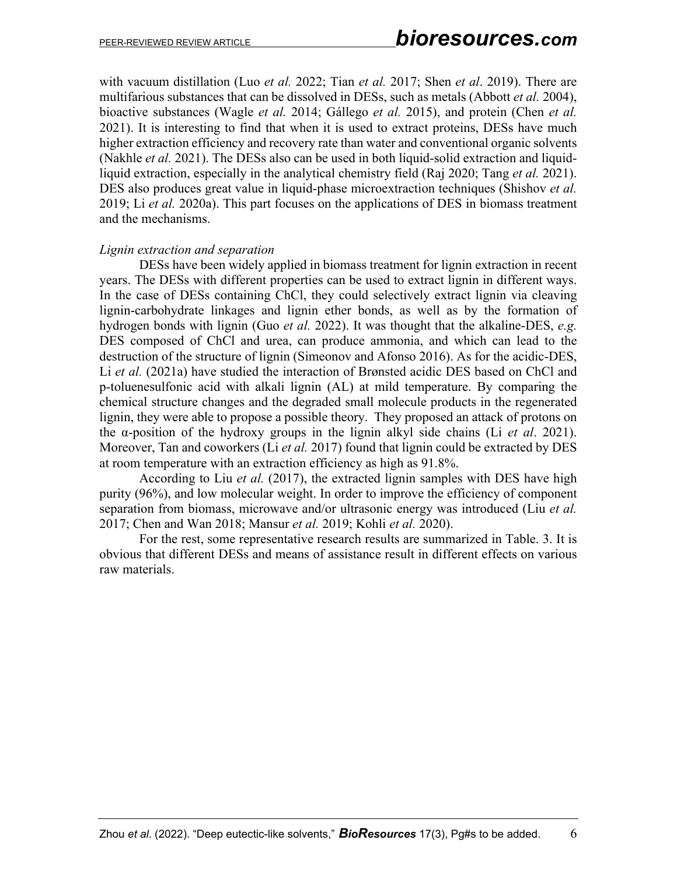with vacuum distillation (Luo *et al.* 2022; Tian *et al.* 2017; Shen *et al*. 2019). There are multifarious substances that can be dissolved in DESs, such as metals (Abbott *et al.* 2004), bioactive substances (Wagle *et al.* 2014; Gállego *et al.* 2015), and protein (Chen *et al.* 2021). It is interesting to find that when it is used to extract proteins, DESs have much higher extraction efficiency and recovery rate than water and conventional organic solvents (Nakhle *et al.* 2021). The DESs also can be used in both liquid-solid extraction and liquidliquid extraction, especially in the analytical chemistry field (Raj 2020; Tang *et al.* 2021). DES also produces great value in liquid-phase microextraction techniques (Shishov *et al.* 2019; Li *et al.* 2020a). This part focuses on the applications of DES in biomass treatment and the mechanisms.

#### *Lignin extraction and separation*

DESs have been widely applied in biomass treatment for lignin extraction in recent years. The DESs with different properties can be used to extract lignin in different ways. In the case of DESs containing ChCl, they could selectively extract lignin via cleaving lignin-carbohydrate linkages and lignin ether bonds, as well as by the formation of hydrogen bonds with lignin (Guo *et al.* 2022). It was thought that the alkaline-DES, *e.g.* DES composed of ChCl and urea, can produce ammonia, and which can lead to the destruction of the structure of lignin (Simeonov and Afonso 2016). As for the acidic-DES, Li *et al.* (2021a) have studied the interaction of Brønsted acidic DES based on ChCl and p-toluenesulfonic acid with alkali lignin (AL) at mild temperature. By comparing the chemical structure changes and the degraded small molecule products in the regenerated lignin, they were able to propose a possible theory. They proposed an attack of protons on the α-position of the hydroxy groups in the lignin alkyl side chains (Li *et al*. 2021). Moreover, Tan and coworkers (Li *et al.* 2017) found that lignin could be extracted by DES at room temperature with an extraction efficiency as high as 91.8%.

According to Liu *et al.* (2017), the extracted lignin samples with DES have high purity (96%), and low molecular weight. In order to improve the efficiency of component separation from biomass, microwave and/or ultrasonic energy was introduced (Liu *et al.* 2017; Chen and Wan 2018; Mansur *et al.* 2019; Kohli *et al.* 2020).

For the rest, some representative research results are summarized in Table. 3. It is obvious that different DESs and means of assistance result in different effects on various raw materials.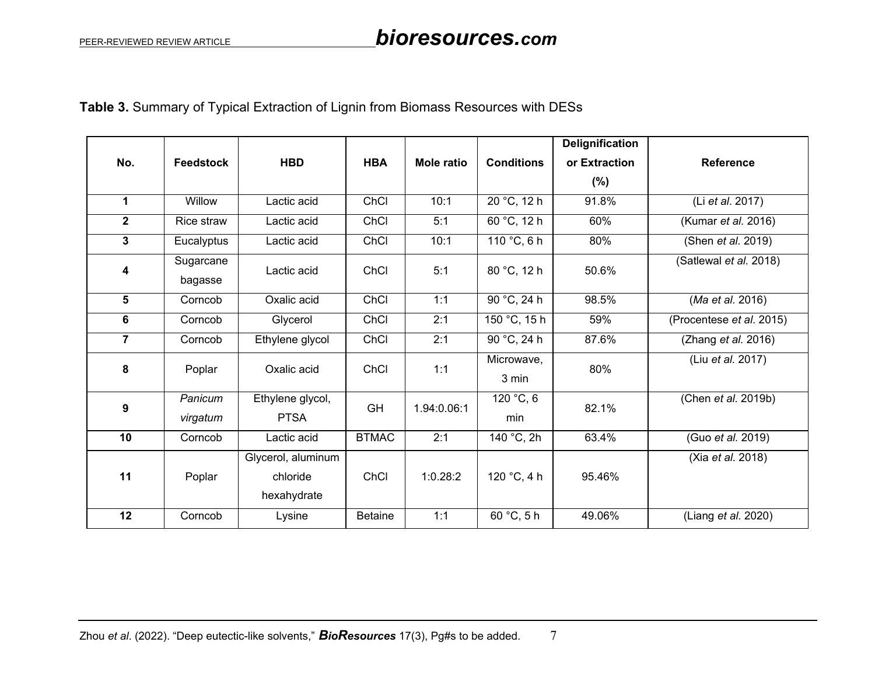## **Table 3.** Summary of Typical Extraction of Lignin from Biomass Resources with DESs

|                |                      |                    |                |                   |                   | <b>Delignification</b> |                           |
|----------------|----------------------|--------------------|----------------|-------------------|-------------------|------------------------|---------------------------|
| No.            | <b>Feedstock</b>     | <b>HBD</b>         | <b>HBA</b>     | <b>Mole ratio</b> | <b>Conditions</b> | or Extraction          | <b>Reference</b>          |
|                |                      |                    |                |                   |                   | $(\% )$                |                           |
| $\mathbf{1}$   | Willow               | Lactic acid        | ChCl           | 10:1              | 20 °C, 12 h       | 91.8%                  | (Li et al. 2017)          |
| $\mathbf{2}$   | Rice straw           | Lactic acid        | ChCl           | 5:1               | 60 °C, 12 h       | 60%                    | (Kumar et al. 2016)       |
| 3              | Eucalyptus           | Lactic acid        | ChCl           | 10:1              | 110 $°C$ , 6 h    | 80%                    | (Shen <i>et al.</i> 2019) |
| 4              | Sugarcane<br>bagasse | Lactic acid        | ChCl           | 5:1               | 80 °C, 12 h       | 50.6%                  | (Satlewal et al. 2018)    |
| 5              | Corncob              | Oxalic acid        | ChCl           | 1:1               | 90 °C, 24 h       | 98.5%                  | (Ma et al. 2016)          |
| 6              | Corncob              | Glycerol           | ChCl           | 2:1               | 150 °C, 15 h      | 59%                    | (Procentese et al. 2015)  |
| $\overline{7}$ | Corncob              | Ethylene glycol    | ChCl           | 2:1               | 90 °C, 24 h       | 87.6%                  | (Zhang et al. 2016)       |
| 8              | Poplar               | Oxalic acid        | ChCl           | 1:1               | Microwave,        | 80%                    | (Liu et al. 2017)         |
|                |                      |                    |                |                   | 3 min             |                        |                           |
| 9              | Panicum              | Ethylene glycol,   | GH             | 1.94:0.06:1       | 120 °C, 6         | 82.1%                  | (Chen et al. 2019b)       |
|                | virgatum             | <b>PTSA</b>        |                |                   | min               |                        |                           |
| 10             | Corncob              | Lactic acid        | <b>BTMAC</b>   | 2:1               | 140 °C, 2h        | 63.4%                  | (Guo et al. 2019)         |
|                |                      | Glycerol, aluminum |                |                   |                   |                        | (Xia et al. 2018)         |
| 11             | Poplar               | chloride           | ChCl           | 1:0.28:2          | 120 °C, 4 h       | 95.46%                 |                           |
|                |                      | hexahydrate        |                |                   |                   |                        |                           |
| 12             | Corncob              | Lysine             | <b>Betaine</b> | 1:1               | 60 °C, 5 h        | 49.06%                 | (Liang et al. 2020)       |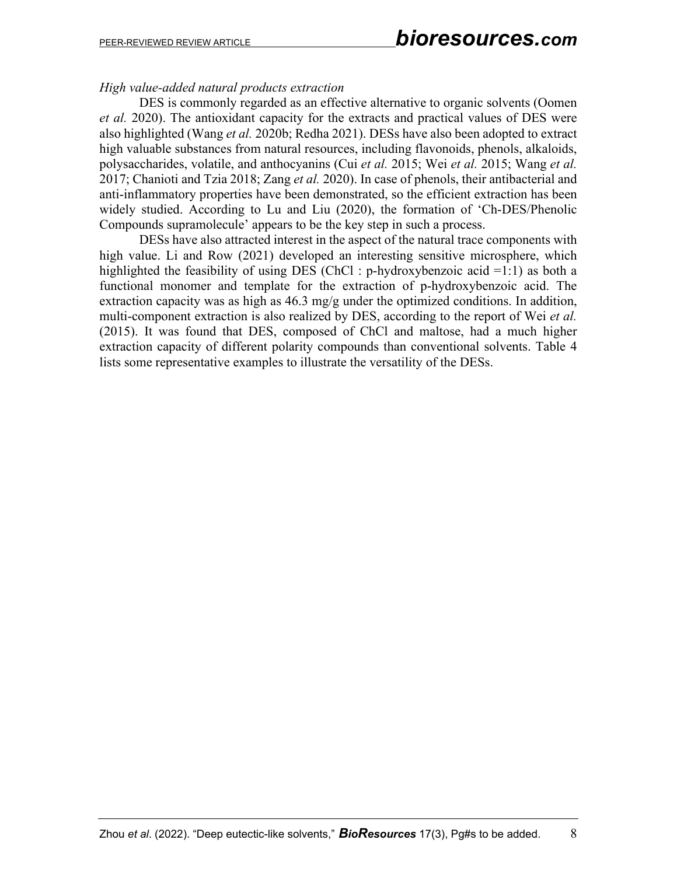### *High value-added natural products extraction*

DES is commonly regarded as an effective alternative to organic solvents (Oomen *et al.* 2020). The antioxidant capacity for the extracts and practical values of DES were also highlighted (Wang *et al.* 2020b; Redha 2021). DESs have also been adopted to extract high valuable substances from natural resources, including flavonoids, phenols, alkaloids, polysaccharides, volatile, and anthocyanins (Cui *et al.* 2015; Wei *et al.* 2015; Wang *et al.* 2017; Chanioti and Tzia 2018; Zang *et al.* 2020). In case of phenols, their antibacterial and anti-inflammatory properties have been demonstrated, so the efficient extraction has been widely studied. According to Lu and Liu (2020), the formation of 'Ch-DES/Phenolic Compounds supramolecule' appears to be the key step in such a process.

DESs have also attracted interest in the aspect of the natural trace components with high value. Li and Row (2021) developed an interesting sensitive microsphere, which highlighted the feasibility of using DES (ChCl : p-hydroxybenzoic acid  $=1:1$ ) as both a functional monomer and template for the extraction of p-hydroxybenzoic acid. The extraction capacity was as high as  $46.3 \text{ mg/g}$  under the optimized conditions. In addition, multi-component extraction is also realized by DES, according to the report of Wei *et al.* (2015). It was found that DES, composed of ChCl and maltose, had a much higher extraction capacity of different polarity compounds than conventional solvents. Table 4 lists some representative examples to illustrate the versatility of the DESs.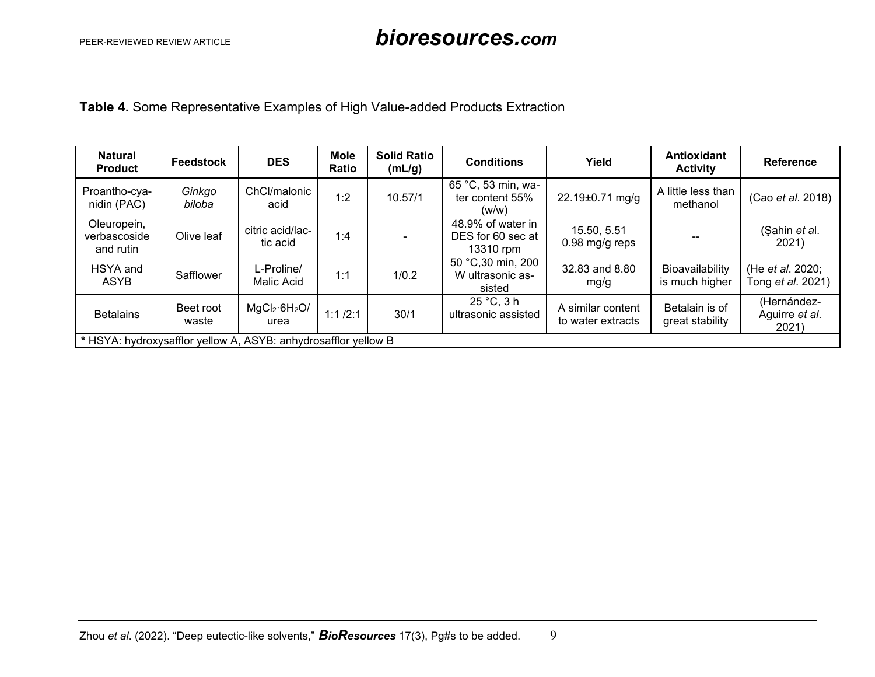**Table 4.** Some Representative Examples of High Value-added Products Extraction

| <b>Natural</b><br><b>Product</b>         | <b>Feedstock</b>   | <b>DES</b>                                                     | <b>Mole</b><br>Ratio | <b>Solid Ratio</b><br>(mL/g) | <b>Conditions</b>                                   | Yield                                  | Antioxidant<br><b>Activity</b>    | <b>Reference</b>                             |
|------------------------------------------|--------------------|----------------------------------------------------------------|----------------------|------------------------------|-----------------------------------------------------|----------------------------------------|-----------------------------------|----------------------------------------------|
| Proantho-cya-<br>nidin (PAC)             | Ginkgo<br>biloba   | ChCl/malonic<br>acid                                           | 1:2                  | 10.57/1                      | 65 °C, 53 min, wa-<br>ter content 55%<br>(w/w)      | 22.19±0.71 mg/g                        | A little less than<br>methanol    | (Cao et al. 2018)                            |
| Oleuropein,<br>verbascoside<br>and rutin | Olive leaf         | citric acid/lac-<br>tic acid                                   | 1:4                  |                              | 48.9% of water in<br>DES for 60 sec at<br>13310 rpm | 15.50, 5.51<br>$0.98$ mg/g reps        |                                   | (Şahin et al.<br>2021)                       |
| HSYA and<br><b>ASYB</b>                  | Safflower          | L-Proline/<br>Malic Acid                                       | 1:1                  | 1/0.2                        | 50 °C,30 min, 200<br>W ultrasonic as-<br>sisted     | 32.83 and 8.80<br>mg/g                 | Bioavailability<br>is much higher | (He et al. 2020;<br>Tong <i>et al.</i> 2021) |
| <b>Betalains</b>                         | Beet root<br>waste | MgCl <sub>2</sub> ·6H <sub>2</sub> O/<br>urea                  | 1:1/2:1              | 30/1                         | 25 °C, 3 h<br>ultrasonic assisted                   | A similar content<br>to water extracts | Betalain is of<br>great stability | (Hernández-<br>Aguirre et al.<br>2021)       |
|                                          |                    | * HSYA: hydroxysafflor yellow A, ASYB: anhydrosafflor yellow B |                      |                              |                                                     |                                        |                                   |                                              |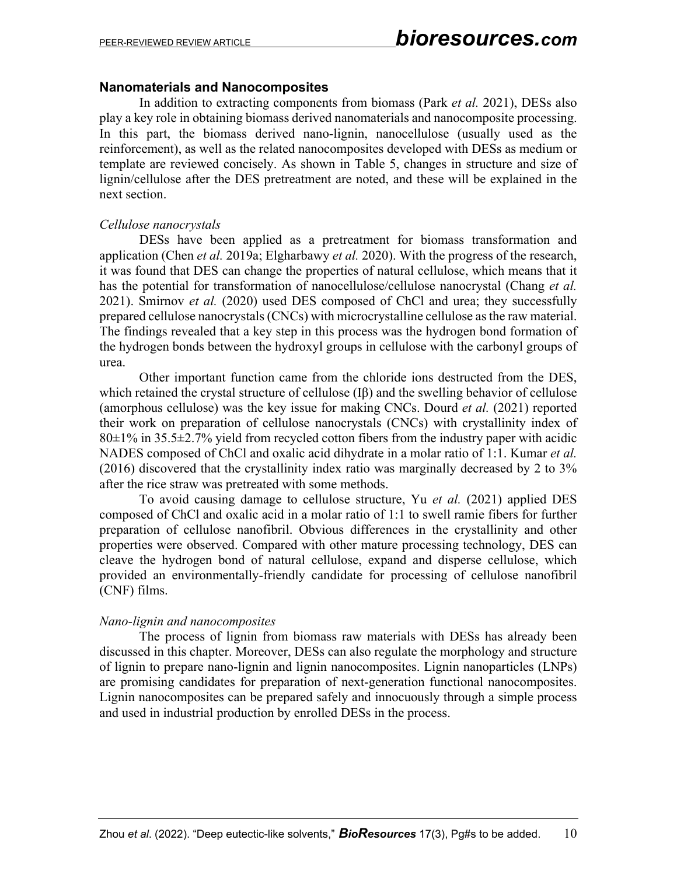#### **Nanomaterials and Nanocomposites**

In addition to extracting components from biomass (Park *et al.* 2021), DESs also play a key role in obtaining biomass derived nanomaterials and nanocomposite processing. In this part, the biomass derived nano-lignin, nanocellulose (usually used as the reinforcement), as well as the related nanocomposites developed with DESs as medium or template are reviewed concisely. As shown in Table 5, changes in structure and size of lignin/cellulose after the DES pretreatment are noted, and these will be explained in the next section.

#### *Cellulose nanocrystals*

DESs have been applied as a pretreatment for biomass transformation and application (Chen *et al.* 2019a; Elgharbawy *et al.* 2020). With the progress of the research, it was found that DES can change the properties of natural cellulose, which means that it has the potential for transformation of nanocellulose/cellulose nanocrystal (Chang *et al.* 2021). Smirnov *et al.* (2020) used DES composed of ChCl and urea; they successfully prepared cellulose nanocrystals (CNCs) with microcrystalline cellulose as the raw material. The findings revealed that a key step in this process was the hydrogen bond formation of the hydrogen bonds between the hydroxyl groups in cellulose with the carbonyl groups of urea.

Other important function came from the chloride ions destructed from the DES, which retained the crystal structure of cellulose (Iβ) and the swelling behavior of cellulose (amorphous cellulose) was the key issue for making CNCs. Dourd *et al.* (2021) reported their work on preparation of cellulose nanocrystals (CNCs) with crystallinity index of  $80\pm1\%$  in 35.5 $\pm$ 2.7% yield from recycled cotton fibers from the industry paper with acidic NADES composed of ChCl and oxalic acid dihydrate in a molar ratio of 1:1. Kumar *et al.* (2016) discovered that the crystallinity index ratio was marginally decreased by 2 to 3% after the rice straw was pretreated with some methods.

To avoid causing damage to cellulose structure, Yu *et al.* (2021) applied DES composed of ChCl and oxalic acid in a molar ratio of 1:1 to swell ramie fibers for further preparation of cellulose nanofibril. Obvious differences in the crystallinity and other properties were observed. Compared with other mature processing technology, DES can cleave the hydrogen bond of natural cellulose, expand and disperse cellulose, which provided an environmentally-friendly candidate for processing of cellulose nanofibril (CNF) films.

#### *Nano-lignin and nanocomposites*

The process of lignin from biomass raw materials with DESs has already been discussed in this chapter. Moreover, DESs can also regulate the morphology and structure of lignin to prepare nano-lignin and lignin nanocomposites. Lignin nanoparticles (LNPs) are promising candidates for preparation of next-generation functional nanocomposites. Lignin nanocomposites can be prepared safely and innocuously through a simple process and used in industrial production by enrolled DESs in the process.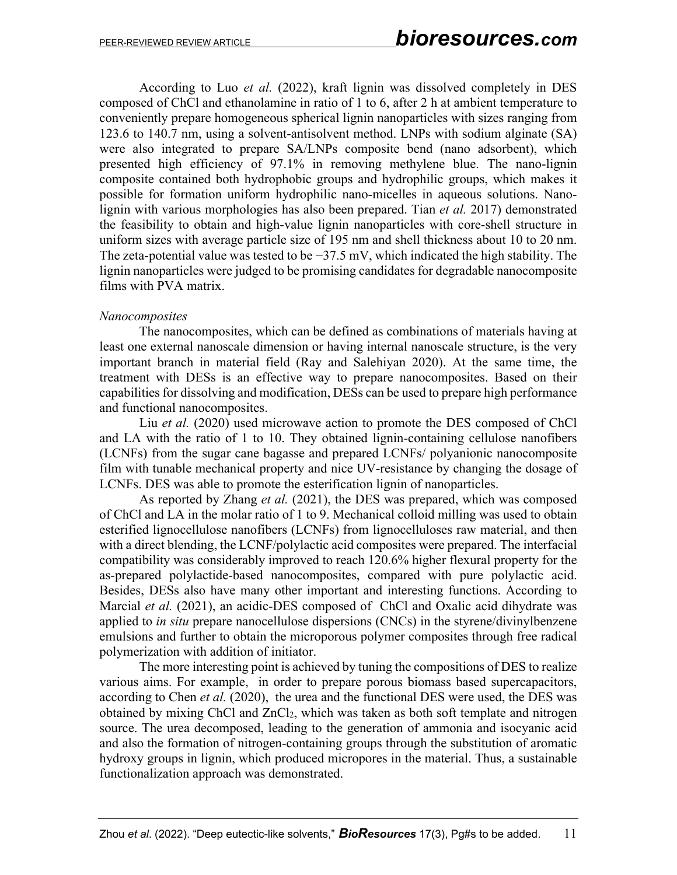According to Luo *et al.* (2022), kraft lignin was dissolved completely in DES composed of ChCl and ethanolamine in ratio of 1 to 6, after 2 h at ambient temperature to conveniently prepare homogeneous spherical lignin nanoparticles with sizes ranging from 123.6 to 140.7 nm, using a solvent-antisolvent method. LNPs with sodium alginate (SA) were also integrated to prepare SA/LNPs composite bend (nano adsorbent), which presented high efficiency of 97.1% in removing methylene blue. The nano-lignin composite contained both hydrophobic groups and hydrophilic groups, which makes it possible for formation uniform hydrophilic nano-micelles in aqueous solutions. Nanolignin with various morphologies has also been prepared. Tian *et al.* 2017) demonstrated the feasibility to obtain and high-value lignin nanoparticles with core-shell structure in uniform sizes with average particle size of 195 nm and shell thickness about 10 to 20 nm. The zeta-potential value was tested to be  $-37.5$  mV, which indicated the high stability. The lignin nanoparticles were judged to be promising candidates for degradable nanocomposite films with PVA matrix.

#### *Nanocomposites*

The nanocomposites, which can be defined as combinations of materials having at least one external nanoscale dimension or having internal nanoscale structure, is the very important branch in material field (Ray and Salehiyan 2020). At the same time, the treatment with DESs is an effective way to prepare nanocomposites. Based on their capabilities for dissolving and modification, DESs can be used to prepare high performance and functional nanocomposites.

Liu *et al.* (2020) used microwave action to promote the DES composed of ChCl and LA with the ratio of 1 to 10. They obtained lignin-containing cellulose nanofibers (LCNFs) from the sugar cane bagasse and prepared LCNFs/ polyanionic nanocomposite film with tunable mechanical property and nice UV-resistance by changing the dosage of LCNFs. DES was able to promote the esterification lignin of nanoparticles.

As reported by Zhang *et al.* (2021), the DES was prepared, which was composed of ChCl and LA in the molar ratio of 1 to 9. Mechanical colloid milling was used to obtain esterified lignocellulose nanofibers (LCNFs) from lignocelluloses raw material, and then with a direct blending, the LCNF/polylactic acid composites were prepared. The interfacial compatibility was considerably improved to reach 120.6% higher flexural property for the as-prepared polylactide-based nanocomposites, compared with pure polylactic acid. Besides, DESs also have many other important and interesting functions. According to Marcial *et al.* (2021), an acidic-DES composed of ChCl and Oxalic acid dihydrate was applied to *in situ* prepare nanocellulose dispersions (CNCs) in the styrene/divinylbenzene emulsions and further to obtain the microporous polymer composites through free radical polymerization with addition of initiator.

The more interesting point is achieved by tuning the compositions of DES to realize various aims. For example, in order to prepare porous biomass based supercapacitors, according to Chen *et al.* (2020), the urea and the functional DES were used, the DES was obtained by mixing ChCl and ZnCl2, which was taken as both soft template and nitrogen source. The urea decomposed, leading to the generation of ammonia and isocyanic acid and also the formation of nitrogen-containing groups through the substitution of aromatic hydroxy groups in lignin, which produced micropores in the material. Thus, a sustainable functionalization approach was demonstrated.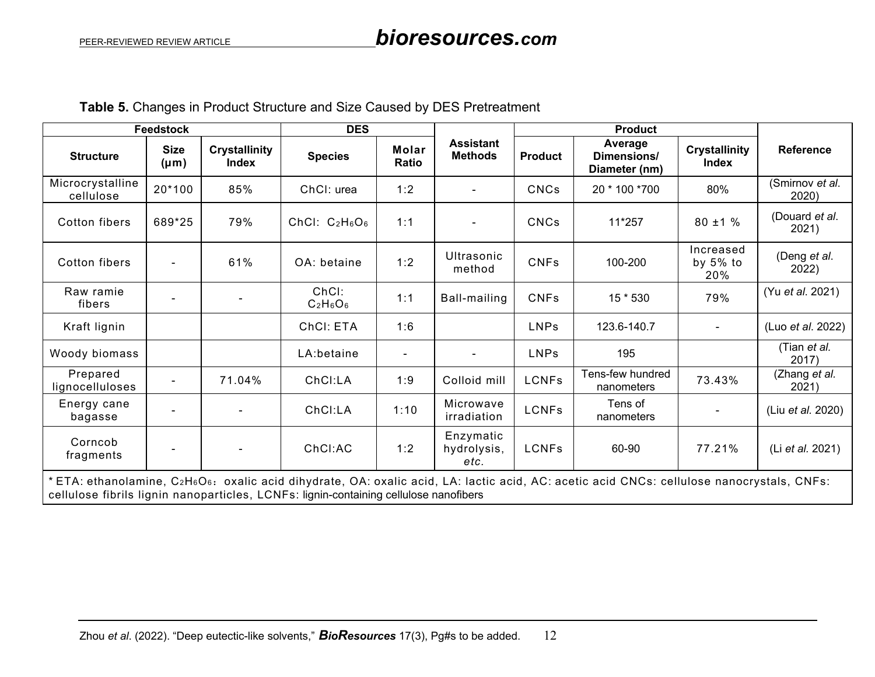**Table 5.** Changes in Product Structure and Size Caused by DES Pretreatment

|                                                                                       | <b>Feedstock</b>         |                                      | <b>DES</b>           |                |                                    | <b>Product</b>                                            |                                                                                                                                                                    |                                 |                          |
|---------------------------------------------------------------------------------------|--------------------------|--------------------------------------|----------------------|----------------|------------------------------------|-----------------------------------------------------------|--------------------------------------------------------------------------------------------------------------------------------------------------------------------|---------------------------------|--------------------------|
| <b>Structure</b>                                                                      | <b>Size</b><br>$(\mu m)$ | <b>Crystallinity</b><br><b>Index</b> | <b>Species</b>       | Molar<br>Ratio | <b>Assistant</b><br><b>Methods</b> | Average<br>Dimensions/<br><b>Product</b><br>Diameter (nm) |                                                                                                                                                                    | <b>Crystallinity</b><br>Index   | <b>Reference</b>         |
| Microcrystalline<br>cellulose                                                         | 20*100                   | 85%                                  | ChCI: urea           | 1:2            |                                    | <b>CNCs</b>                                               | 20 * 100 * 700                                                                                                                                                     | 80%                             | (Smirnov et al.<br>2020) |
| Cotton fibers                                                                         | 689*25                   | 79%                                  | ChCl: $C_2H_6O_6$    | 1:1            |                                    | <b>CNCs</b>                                               | 11*257                                                                                                                                                             | $80 \pm 1 \%$                   | (Douard et al.<br>2021)  |
| Cotton fibers                                                                         | $\blacksquare$           | 61%                                  | OA: betaine          | 1:2            | Ultrasonic<br>method               | <b>CNFs</b>                                               | 100-200                                                                                                                                                            | Increased<br>by $5\%$ to<br>20% | (Deng et al.<br>2022)    |
| Raw ramie<br>fibers                                                                   |                          |                                      | ChCl:<br>$C_2H_6O_6$ | 1:1            | Ball-mailing                       | <b>CNFs</b>                                               | 15 * 530                                                                                                                                                           | 79%                             | (Yu et al. 2021)         |
| Kraft lignin                                                                          |                          |                                      | ChCI: ETA            | 1:6            |                                    | <b>LNPs</b><br>123.6-140.7<br>$\blacksquare$              |                                                                                                                                                                    |                                 | (Luo et al. 2022)        |
| Woody biomass                                                                         |                          |                                      | LA:betaine           | $\blacksquare$ |                                    | <b>LNPs</b>                                               | 195                                                                                                                                                                |                                 | (Tian et al.<br>2017)    |
| Prepared<br>lignocelluloses                                                           |                          | 71.04%                               | ChCl:LA              | 1:9            | Colloid mill                       | <b>LCNFs</b>                                              | Tens-few hundred<br>nanometers                                                                                                                                     | 73.43%                          | (Zhang et al.<br>2021)   |
| Energy cane<br>bagasse                                                                |                          |                                      | ChCI:LA              | 1:10           | Microwave<br>irradiation           | <b>LCNFs</b>                                              | Tens of<br>nanometers                                                                                                                                              |                                 | (Liu et al. 2020)        |
| Corncob<br>fragments                                                                  |                          |                                      | ChCl:AC              | 1:2            | Enzymatic<br>hydrolysis,<br>etc.   | <b>LCNFs</b>                                              | 60-90                                                                                                                                                              | 77.21%                          | (Li et al. 2021)         |
| cellulose fibrils lignin nanoparticles, LCNFs: lignin-containing cellulose nanofibers |                          |                                      |                      |                |                                    |                                                           | *ETA: ethanolamine, C2H <sub>6</sub> O <sub>6</sub> : oxalic acid dihydrate, OA: oxalic acid, LA: lactic acid, AC: acetic acid CNCs: cellulose nanocrystals, CNFs: |                                 |                          |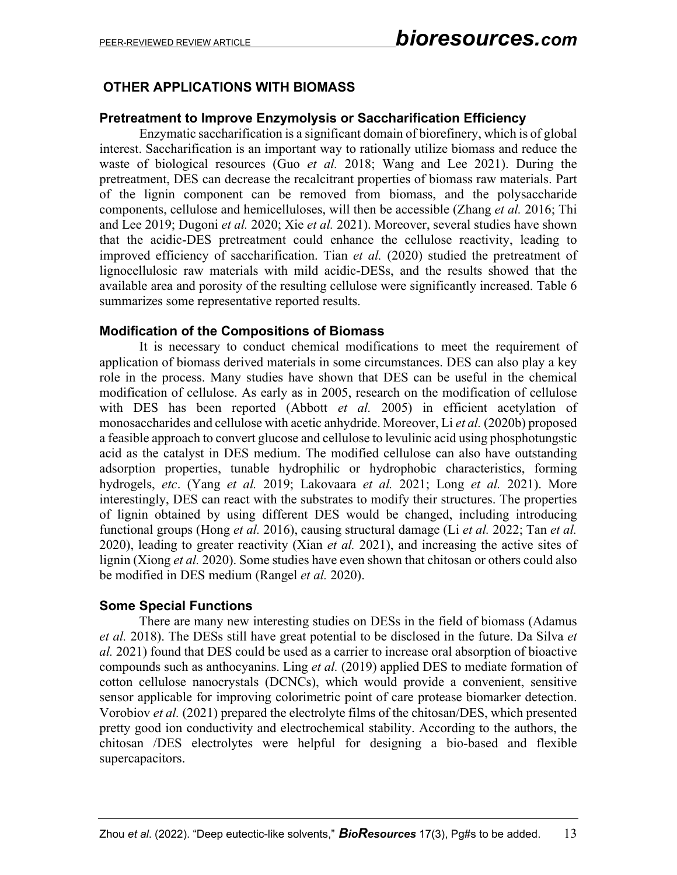## **OTHER APPLICATIONS WITH BIOMASS**

#### **Pretreatment to Improve Enzymolysis or Saccharification Efficiency**

Enzymatic saccharification is a significant domain of biorefinery, which is of global interest. Saccharification is an important way to rationally utilize biomass and reduce the waste of biological resources (Guo *et al.* 2018; Wang and Lee 2021). During the pretreatment, DES can decrease the recalcitrant properties of biomass raw materials. Part of the lignin component can be removed from biomass, and the polysaccharide components, cellulose and hemicelluloses, will then be accessible (Zhang *et al.* 2016; Thi and Lee 2019; Dugoni *et al.* 2020; Xie *et al.* 2021). Moreover, several studies have shown that the acidic-DES pretreatment could enhance the cellulose reactivity, leading to improved efficiency of saccharification. Tian *et al.* (2020) studied the pretreatment of lignocellulosic raw materials with mild acidic-DESs, and the results showed that the available area and porosity of the resulting cellulose were significantly increased. Table 6 summarizes some representative reported results.

#### **Modification of the Compositions of Biomass**

It is necessary to conduct chemical modifications to meet the requirement of application of biomass derived materials in some circumstances. DES can also play a key role in the process. Many studies have shown that DES can be useful in the chemical modification of cellulose. As early as in 2005, research on the modification of cellulose with DES has been reported (Abbott et al. 2005) in efficient acetylation of monosaccharides and cellulose with acetic anhydride. Moreover, Li *et al.* (2020b) proposed a feasible approach to convert glucose and cellulose to levulinic acid using phosphotungstic acid as the catalyst in DES medium. The modified cellulose can also have outstanding adsorption properties, tunable hydrophilic or hydrophobic characteristics, forming hydrogels, *etc*. (Yang *et al.* 2019; Lakovaara *et al.* 2021; Long *et al.* 2021). More interestingly, DES can react with the substrates to modify their structures. The properties of lignin obtained by using different DES would be changed, including introducing functional groups (Hong *et al.* 2016), causing structural damage (Li *et al.* 2022; Tan *et al.* 2020), leading to greater reactivity (Xian *et al.* 2021), and increasing the active sites of lignin (Xiong *et al.* 2020). Some studies have even shown that chitosan or others could also be modified in DES medium (Rangel *et al.* 2020).

#### **Some Special Functions**

There are many new interesting studies on DESs in the field of biomass (Adamus *et al.* 2018). The DESs still have great potential to be disclosed in the future. Da Silva *et al.* 2021) found that DES could be used as a carrier to increase oral absorption of bioactive compounds such as anthocyanins. Ling *et al.* (2019) applied DES to mediate formation of cotton cellulose nanocrystals (DCNCs), which would provide a convenient, sensitive sensor applicable for improving colorimetric point of care protease biomarker detection. Vorobiov *et al.* (2021) prepared the electrolyte films of the chitosan/DES, which presented pretty good ion conductivity and electrochemical stability. According to the authors, the chitosan /DES electrolytes were helpful for designing a bio-based and flexible supercapacitors.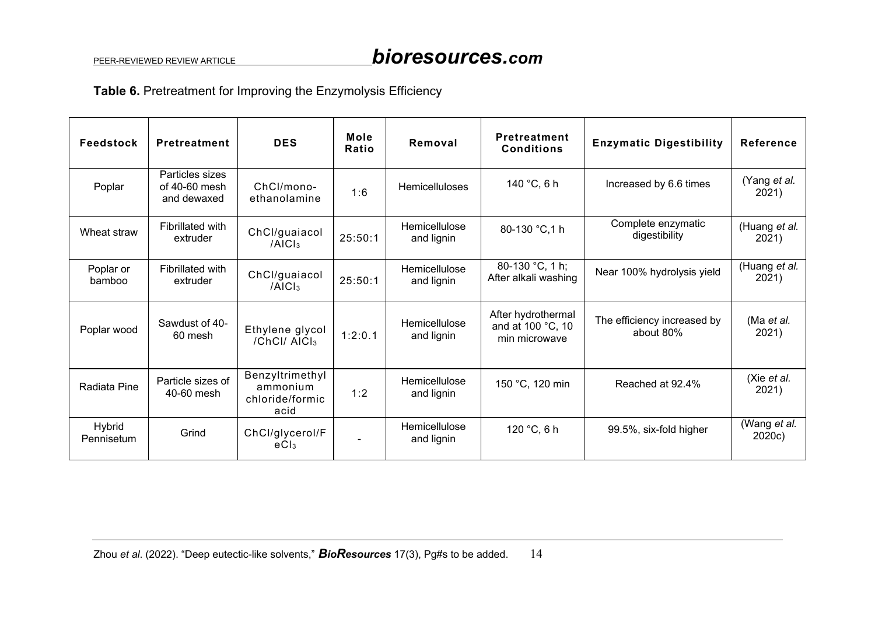## **Table 6.** Pretreatment for Improving the Enzymolysis Efficiency

| Feedstock            | Pretreatment                                    | <b>DES</b>                                             | Mole<br>Ratio | Removal                     | <b>Pretreatment</b><br><b>Conditions</b>                 | <b>Enzymatic Digestibility</b>           | <b>Reference</b>       |
|----------------------|-------------------------------------------------|--------------------------------------------------------|---------------|-----------------------------|----------------------------------------------------------|------------------------------------------|------------------------|
| Poplar               | Particles sizes<br>of 40-60 mesh<br>and dewaxed | ChCl/mono-<br>ethanolamine                             | 1:6           | <b>Hemicelluloses</b>       | 140 °C, 6 h                                              | Increased by 6.6 times                   | (Yang et al.<br>2021)  |
| Wheat straw          | Fibrillated with<br>extruder                    | ChCl/guaiacol<br>/AICI <sub>3</sub>                    | 25:50:1       | Hemicellulose<br>and lignin | 80-130 °C, 1 h                                           | Complete enzymatic<br>digestibility      | (Huang et al.<br>2021) |
| Poplar or<br>bamboo  | Fibrillated with<br>extruder                    | ChCl/guaiacol<br>/AICI <sub>3</sub>                    | 25:50:1       | Hemicellulose<br>and lignin | 80-130 °C, 1 h;<br>After alkali washing                  | Near 100% hydrolysis yield               | (Huang et al.<br>2021) |
| Poplar wood          | Sawdust of 40-<br>60 mesh                       | Ethylene glycol<br>/ChCl/ AICI3                        | 1:2:0.1       | Hemicellulose<br>and lignin | After hydrothermal<br>and at 100 °C, 10<br>min microwave | The efficiency increased by<br>about 80% | (Ma et al.<br>2021)    |
| Radiata Pine         | Particle sizes of<br>40-60 mesh                 | Benzyltrimethyl<br>ammonium<br>chloride/formic<br>acid | 1:2           | Hemicellulose<br>and lignin | 150 °C, 120 min                                          | Reached at 92.4%                         | (Xie et al.<br>2021)   |
| Hybrid<br>Pennisetum | Grind                                           | ChCl/glycerol/F<br>eC1 <sub>3</sub>                    |               | Hemicellulose<br>and lignin | 120 °C, 6 h                                              | 99.5%, six-fold higher                   | (Wang et al.<br>2020c) |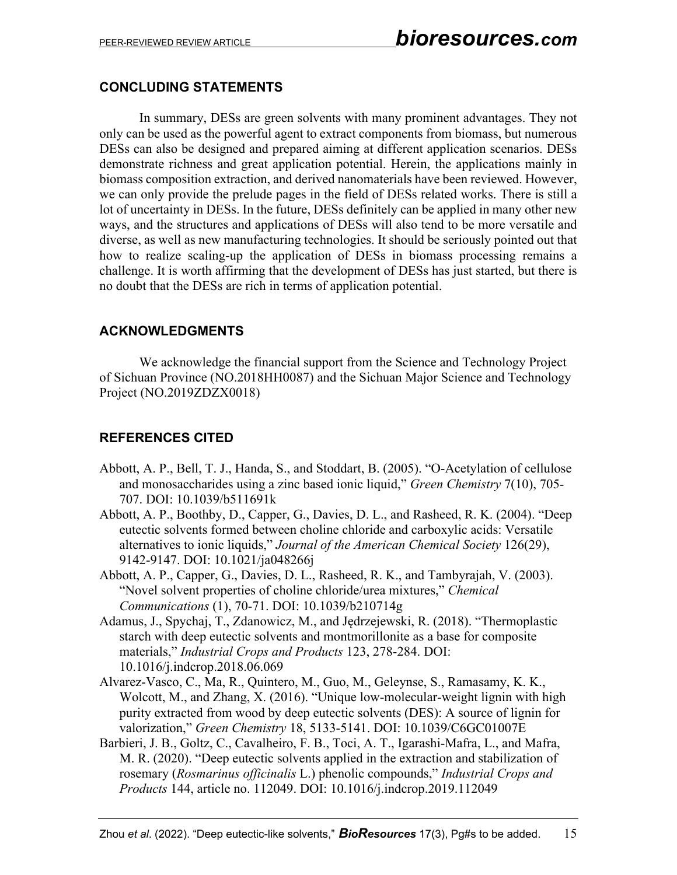### **CONCLUDING STATEMENTS**

In summary, DESs are green solvents with many prominent advantages. They not only can be used as the powerful agent to extract components from biomass, but numerous DESs can also be designed and prepared aiming at different application scenarios. DESs demonstrate richness and great application potential. Herein, the applications mainly in biomass composition extraction, and derived nanomaterials have been reviewed. However, we can only provide the prelude pages in the field of DESs related works. There is still a lot of uncertainty in DESs. In the future, DESs definitely can be applied in many other new ways, and the structures and applications of DESs will also tend to be more versatile and diverse, as well as new manufacturing technologies. It should be seriously pointed out that how to realize scaling-up the application of DESs in biomass processing remains a challenge. It is worth affirming that the development of DESs has just started, but there is no doubt that the DESs are rich in terms of application potential.

### **ACKNOWLEDGMENTS**

We acknowledge the financial support from the Science and Technology Project of Sichuan Province (NO.2018HH0087) and the Sichuan Major Science and Technology Project (NO.2019ZDZX0018)

## **REFERENCES CITED**

- Abbott, A. P., Bell, T. J., Handa, S., and Stoddart, B. (2005). "O-Acetylation of cellulose and monosaccharides using a zinc based ionic liquid," *Green Chemistry* 7(10), 705- 707. DOI: 10.1039/b511691k
- Abbott, A. P., Boothby, D., Capper, G., Davies, D. L., and Rasheed, R. K. (2004). "Deep eutectic solvents formed between choline chloride and carboxylic acids: Versatile alternatives to ionic liquids," *Journal of the American Chemical Society* 126(29), 9142-9147. DOI: 10.1021/ja048266j
- Abbott, A. P., Capper, G., Davies, D. L., Rasheed, R. K., and Tambyrajah, V. (2003). "Novel solvent properties of choline chloride/urea mixtures," *Chemical Communications* (1), 70-71. DOI: 10.1039/b210714g
- Adamus, J., Spychaj, T., Zdanowicz, M., and Jędrzejewski, R. (2018). "Thermoplastic starch with deep eutectic solvents and montmorillonite as a base for composite materials," *Industrial Crops and Products* 123, 278-284. DOI: 10.1016/j.indcrop.2018.06.069
- Alvarez-Vasco, C., Ma, R., Quintero, M., Guo, M., Geleynse, S., Ramasamy, K. K., Wolcott, M., and Zhang, X. (2016). "Unique low-molecular-weight lignin with high purity extracted from wood by deep eutectic solvents (DES): A source of lignin for valorization," *Green Chemistry* 18, 5133-5141. DOI: 10.1039/C6GC01007E
- Barbieri, J. B., Goltz, C., Cavalheiro, F. B., Toci, A. T., Igarashi-Mafra, L., and Mafra, M. R. (2020). "Deep eutectic solvents applied in the extraction and stabilization of rosemary (*Rosmarinus officinalis* L.) phenolic compounds," *Industrial Crops and Products* 144, article no. 112049. DOI: 10.1016/j.indcrop.2019.112049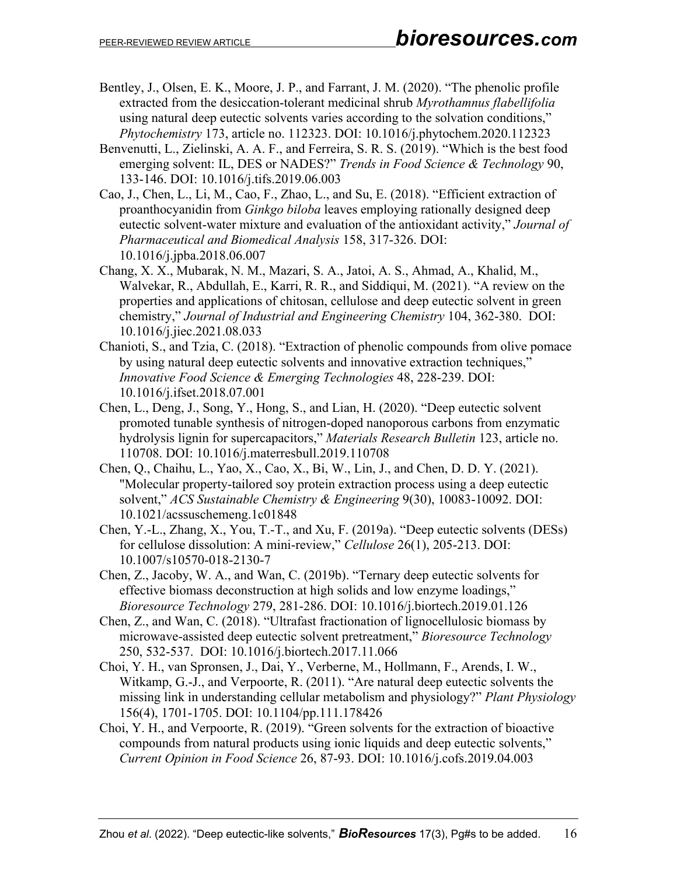- Bentley, J., Olsen, E. K., Moore, J. P., and Farrant, J. M. (2020). "The phenolic profile extracted from the desiccation-tolerant medicinal shrub *Myrothamnus flabellifolia* using natural deep eutectic solvents varies according to the solvation conditions," *Phytochemistry* 173, article no. 112323. DOI: 10.1016/j.phytochem.2020.112323
- Benvenutti, L., Zielinski, A. A. F., and Ferreira, S. R. S. (2019). "Which is the best food emerging solvent: IL, DES or NADES?" *Trends in Food Science & Technology* 90, 133-146. DOI: 10.1016/j.tifs.2019.06.003
- Cao, J., Chen, L., Li, M., Cao, F., Zhao, L., and Su, E. (2018). "Efficient extraction of proanthocyanidin from *Ginkgo biloba* leaves employing rationally designed deep eutectic solvent-water mixture and evaluation of the antioxidant activity," *Journal of Pharmaceutical and Biomedical Analysis* 158, 317-326. DOI: 10.1016/j.jpba.2018.06.007
- Chang, X. X., Mubarak, N. M., Mazari, S. A., Jatoi, A. S., Ahmad, A., Khalid, M., Walvekar, R., Abdullah, E., Karri, R. R., and Siddiqui, M. (2021). "A review on the properties and applications of chitosan, cellulose and deep eutectic solvent in green chemistry," *Journal of Industrial and Engineering Chemistry* 104, 362-380. DOI: 10.1016/j.jiec.2021.08.033
- Chanioti, S., and Tzia, C. (2018). "Extraction of phenolic compounds from olive pomace by using natural deep eutectic solvents and innovative extraction techniques," *Innovative Food Science & Emerging Technologies* 48, 228-239. DOI: 10.1016/j.ifset.2018.07.001
- Chen, L., Deng, J., Song, Y., Hong, S., and Lian, H. (2020). "Deep eutectic solvent promoted tunable synthesis of nitrogen-doped nanoporous carbons from enzymatic hydrolysis lignin for supercapacitors," *Materials Research Bulletin* 123, article no. 110708. DOI: 10.1016/j.materresbull.2019.110708
- Chen, Q., Chaihu, L., Yao, X., Cao, X., Bi, W., Lin, J., and Chen, D. D. Y. (2021). "Molecular property-tailored soy protein extraction process using a deep eutectic solvent," *ACS Sustainable Chemistry & Engineering* 9(30), 10083-10092. DOI: 10.1021/acssuschemeng.1c01848
- Chen, Y.-L., Zhang, X., You, T.-T., and Xu, F. (2019a). "Deep eutectic solvents (DESs) for cellulose dissolution: A mini-review," *Cellulose* 26(1), 205-213. DOI: 10.1007/s10570-018-2130-7
- Chen, Z., Jacoby, W. A., and Wan, C. (2019b). "Ternary deep eutectic solvents for effective biomass deconstruction at high solids and low enzyme loadings," *Bioresource Technology* 279, 281-286. DOI: 10.1016/j.biortech.2019.01.126
- Chen, Z., and Wan, C. (2018). "Ultrafast fractionation of lignocellulosic biomass by microwave-assisted deep eutectic solvent pretreatment," *Bioresource Technology* 250, 532-537. DOI: 10.1016/j.biortech.2017.11.066
- Choi, Y. H., van Spronsen, J., Dai, Y., Verberne, M., Hollmann, F., Arends, I. W., Witkamp, G.-J., and Verpoorte, R. (2011). "Are natural deep eutectic solvents the missing link in understanding cellular metabolism and physiology?" *Plant Physiology* 156(4), 1701-1705. DOI: 10.1104/pp.111.178426
- Choi, Y. H., and Verpoorte, R. (2019). "Green solvents for the extraction of bioactive compounds from natural products using ionic liquids and deep eutectic solvents," *Current Opinion in Food Science* 26, 87-93. DOI: 10.1016/j.cofs.2019.04.003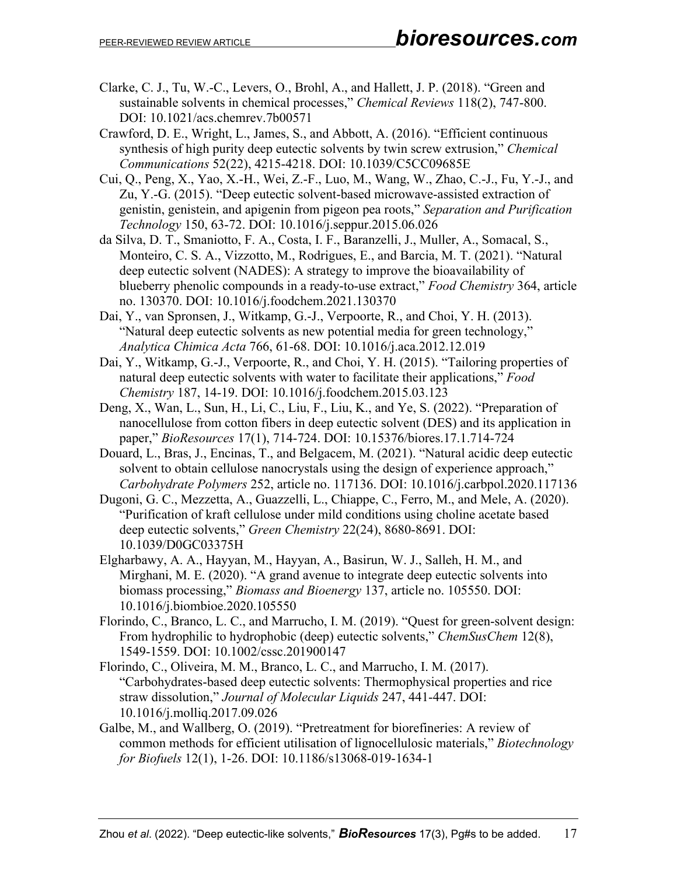- Clarke, C. J., Tu, W.-C., Levers, O., Brohl, A., and Hallett, J. P. (2018). "Green and sustainable solvents in chemical processes," *Chemical Reviews* 118(2), 747-800. DOI: [10.1021/acs.chemrev.7b00571](https://doi.org/10.1021/acs.chemrev.7b00571)
- Crawford, D. E., Wright, L., James, S., and Abbott, A. (2016). "Efficient continuous synthesis of high purity deep eutectic solvents by twin screw extrusion," *Chemical Communications* 52(22), 4215-4218. DOI: 10.1039/C5CC09685E
- Cui, Q., Peng, X., Yao, X.-H., Wei, Z.-F., Luo, M., Wang, W., Zhao, C.-J., Fu, Y.-J., and Zu, Y.-G. (2015). "Deep eutectic solvent-based microwave-assisted extraction of genistin, genistein, and apigenin from pigeon pea roots," *Separation and Purification Technology* 150, 63-72. DOI: 10.1016/j.seppur.2015.06.026
- da Silva, D. T., Smaniotto, F. A., Costa, I. F., Baranzelli, J., Muller, A., Somacal, S., Monteiro, C. S. A., Vizzotto, M., Rodrigues, E., and Barcia, M. T. (2021). "Natural deep eutectic solvent (NADES): A strategy to improve the bioavailability of blueberry phenolic compounds in a ready-to-use extract," *Food Chemistry* 364, article no. 130370. DOI: 10.1016/j.foodchem.2021.130370
- Dai, Y., van Spronsen, J., Witkamp, G.-J., Verpoorte, R., and Choi, Y. H. (2013). "Natural deep eutectic solvents as new potential media for green technology," *Analytica Chimica Acta* 766, 61-68. DOI: 10.1016/j.aca.2012.12.019
- Dai, Y., Witkamp, G.-J., Verpoorte, R., and Choi, Y. H. (2015). "Tailoring properties of natural deep eutectic solvents with water to facilitate their applications," *Food Chemistry* 187, 14-19. DOI: 10.1016/j.foodchem.2015.03.123
- Deng, X., Wan, L., Sun, H., Li, C., Liu, F., Liu, K., and Ye, S. (2022). "Preparation of nanocellulose from cotton fibers in deep eutectic solvent (DES) and its application in paper," *BioResources* 17(1), 714-724. DOI: 10.15376/biores.17.1.714-724
- Douard, L., Bras, J., Encinas, T., and Belgacem, M. (2021). "Natural acidic deep eutectic solvent to obtain cellulose nanocrystals using the design of experience approach," *Carbohydrate Polymers* 252, article no. 117136. DOI: 10.1016/j.carbpol.2020.117136
- Dugoni, G. C., Mezzetta, A., Guazzelli, L., Chiappe, C., Ferro, M., and Mele, A. (2020). "Purification of kraft cellulose under mild conditions using choline acetate based deep eutectic solvents," *Green Chemistry* 22(24), 8680-8691. DOI: 10.1039/D0GC03375H
- Elgharbawy, A. A., Hayyan, M., Hayyan, A., Basirun, W. J., Salleh, H. M., and Mirghani, M. E. (2020). "A grand avenue to integrate deep eutectic solvents into biomass processing," *Biomass and Bioenergy* 137, article no. 105550. DOI: 10.1016/j.biombioe.2020.105550
- Florindo, C., Branco, L. C., and Marrucho, I. M. (2019). "Quest for green‐solvent design: From hydrophilic to hydrophobic (deep) eutectic solvents," *ChemSusChem* 12(8), 1549-1559. DOI: 10.1002/cssc.201900147
- Florindo, C., Oliveira, M. M., Branco, L. C., and Marrucho, I. M. (2017). "Carbohydrates-based deep eutectic solvents: Thermophysical properties and rice straw dissolution," *Journal of Molecular Liquids* 247, 441-447. DOI: 10.1016/j.molliq.2017.09.026
- Galbe, M., and Wallberg, O. (2019). "Pretreatment for biorefineries: A review of common methods for efficient utilisation of lignocellulosic materials," *Biotechnology for Biofuels* 12(1), 1-26. DOI: 10.1186/s13068-019-1634-1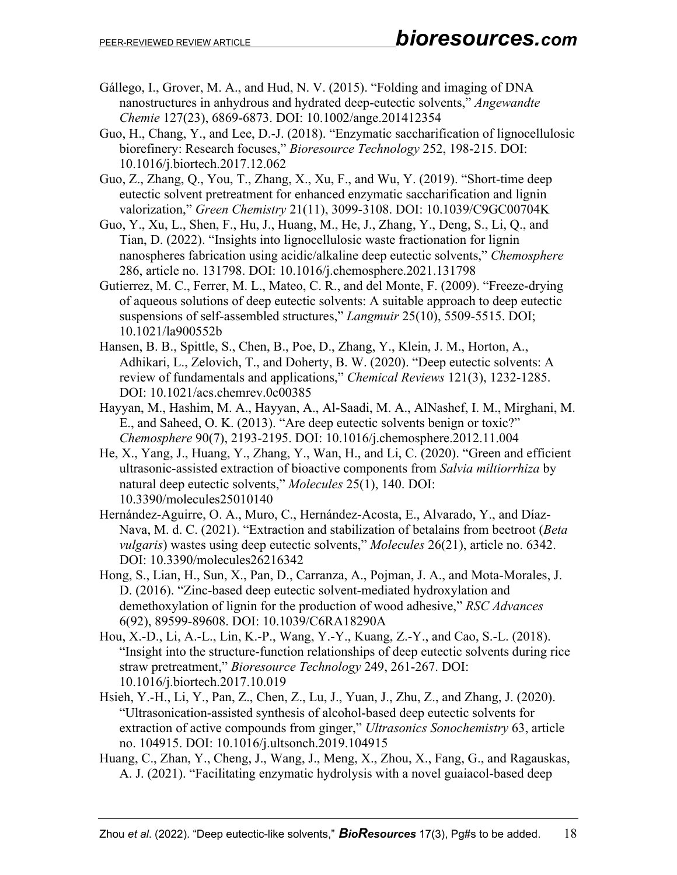- Gállego, I., Grover, M. A., and Hud, N. V. (2015). "Folding and imaging of DNA nanostructures in anhydrous and hydrated deep‐eutectic solvents," *Angewandte Chemie* 127(23), 6869-6873. DOI: 10.1002/ange.201412354
- Guo, H., Chang, Y., and Lee, D.-J. (2018). "Enzymatic saccharification of lignocellulosic biorefinery: Research focuses," *Bioresource Technology* 252, 198-215. DOI: 10.1016/j.biortech.2017.12.062
- Guo, Z., Zhang, Q., You, T., Zhang, X., Xu, F., and Wu, Y. (2019). "Short-time deep eutectic solvent pretreatment for enhanced enzymatic saccharification and lignin valorization," *Green Chemistry* 21(11), 3099-3108. DOI: 10.1039/C9GC00704K
- Guo, Y., Xu, L., Shen, F., Hu, J., Huang, M., He, J., Zhang, Y., Deng, S., Li, Q., and Tian, D. (2022). "Insights into lignocellulosic waste fractionation for lignin nanospheres fabrication using acidic/alkaline deep eutectic solvents," *Chemosphere* 286, article no. 131798. DOI: 10.1016/j.chemosphere.2021.131798
- Gutierrez, M. C., Ferrer, M. L., Mateo, C. R., and del Monte, F. (2009). "Freeze-drying of aqueous solutions of deep eutectic solvents: A suitable approach to deep eutectic suspensions of self-assembled structures," *Langmuir* 25(10), 5509-5515. DOI; 10.1021/la900552b
- Hansen, B. B., Spittle, S., Chen, B., Poe, D., Zhang, Y., Klein, J. M., Horton, A., Adhikari, L., Zelovich, T., and Doherty, B. W. (2020). "Deep eutectic solvents: A review of fundamentals and applications," *Chemical Reviews* 121(3), 1232-1285. DOI: 10.1021/acs.chemrev.0c00385
- Hayyan, M., Hashim, M. A., Hayyan, A., Al-Saadi, M. A., AlNashef, I. M., Mirghani, M. E., and Saheed, O. K. (2013). "Are deep eutectic solvents benign or toxic?" *Chemosphere* 90(7), 2193-2195. DOI: 10.1016/j.chemosphere.2012.11.004
- He, X., Yang, J., Huang, Y., Zhang, Y., Wan, H., and Li, C. (2020). "Green and efficient ultrasonic-assisted extraction of bioactive components from *Salvia miltiorrhiza* by natural deep eutectic solvents," *Molecules* 25(1), 140. DOI: 10.3390/molecules25010140
- Hernández-Aguirre, O. A., Muro, C., Hernández-Acosta, E., Alvarado, Y., and Díaz-Nava, M. d. C. (2021). "Extraction and stabilization of betalains from beetroot (*Beta vulgaris*) wastes using deep eutectic solvents," *Molecules* 26(21), article no. 6342. DOI: 10.3390/molecules26216342
- Hong, S., Lian, H., Sun, X., Pan, D., Carranza, A., Pojman, J. A., and Mota-Morales, J. D. (2016). "Zinc-based deep eutectic solvent-mediated hydroxylation and demethoxylation of lignin for the production of wood adhesive," *RSC Advances* 6(92), 89599-89608. DOI: 10.1039/C6RA18290A
- Hou, X.-D., Li, A.-L., Lin, K.-P., Wang, Y.-Y., Kuang, Z.-Y., and Cao, S.-L. (2018). "Insight into the structure-function relationships of deep eutectic solvents during rice straw pretreatment," *Bioresource Technology* 249, 261-267. DOI: 10.1016/j.biortech.2017.10.019
- Hsieh, Y.-H., Li, Y., Pan, Z., Chen, Z., Lu, J., Yuan, J., Zhu, Z., and Zhang, J. (2020). "Ultrasonication-assisted synthesis of alcohol-based deep eutectic solvents for extraction of active compounds from ginger," *Ultrasonics Sonochemistry* 63, article no. 104915. DOI: 10.1016/j.ultsonch.2019.104915
- Huang, C., Zhan, Y., Cheng, J., Wang, J., Meng, X., Zhou, X., Fang, G., and Ragauskas, A. J. (2021). "Facilitating enzymatic hydrolysis with a novel guaiacol-based deep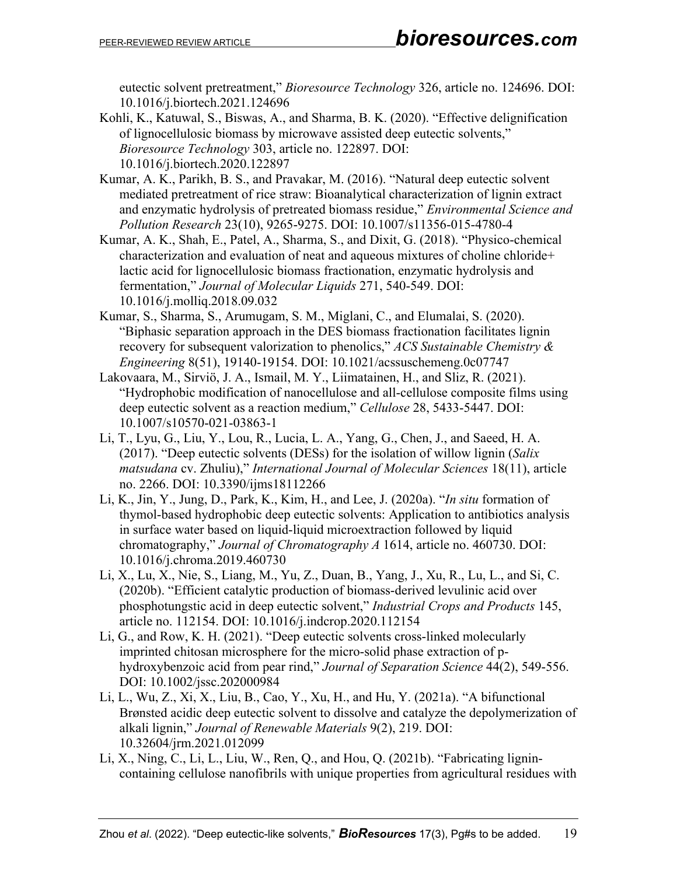eutectic solvent pretreatment," *Bioresource Technology* 326, article no. 124696. DOI: 10.1016/j.biortech.2021.124696

- Kohli, K., Katuwal, S., Biswas, A., and Sharma, B. K. (2020). "Effective delignification of lignocellulosic biomass by microwave assisted deep eutectic solvents," *Bioresource Technology* 303, article no. 122897. DOI: 10.1016/j.biortech.2020.122897
- Kumar, A. K., Parikh, B. S., and Pravakar, M. (2016). "Natural deep eutectic solvent mediated pretreatment of rice straw: Bioanalytical characterization of lignin extract and enzymatic hydrolysis of pretreated biomass residue," *Environmental Science and Pollution Research* 23(10), 9265-9275. DOI: 10.1007/s11356-015-4780-4
- Kumar, A. K., Shah, E., Patel, A., Sharma, S., and Dixit, G. (2018). "Physico-chemical characterization and evaluation of neat and aqueous mixtures of choline chloride+ lactic acid for lignocellulosic biomass fractionation, enzymatic hydrolysis and fermentation," *Journal of Molecular Liquids* 271, 540-549. DOI: 10.1016/j.molliq.2018.09.032
- Kumar, S., Sharma, S., Arumugam, S. M., Miglani, C., and Elumalai, S. (2020). "Biphasic separation approach in the DES biomass fractionation facilitates lignin recovery for subsequent valorization to phenolics," *ACS Sustainable Chemistry & Engineering* 8(51), 19140-19154. DOI: 10.1021/acssuschemeng.0c07747
- Lakovaara, M., Sirviö, J. A., Ismail, M. Y., Liimatainen, H., and Sliz, R. (2021). "Hydrophobic modification of nanocellulose and all-cellulose composite films using deep eutectic solvent as a reaction medium," *Cellulose* 28, 5433-5447. DOI: 10.1007/s10570-021-03863-1
- Li, T., Lyu, G., Liu, Y., Lou, R., Lucia, L. A., Yang, G., Chen, J., and Saeed, H. A. (2017). "Deep eutectic solvents (DESs) for the isolation of willow lignin (*Salix matsudana* cv. Zhuliu)," *International Journal of Molecular Sciences* 18(11), article no. 2266. DOI: 10.3390/ijms18112266
- Li, K., Jin, Y., Jung, D., Park, K., Kim, H., and Lee, J. (2020a). "*In situ* formation of thymol-based hydrophobic deep eutectic solvents: Application to antibiotics analysis in surface water based on liquid-liquid microextraction followed by liquid chromatography," *Journal of Chromatography A* 1614, article no. 460730. DOI: 10.1016/j.chroma.2019.460730
- Li, X., Lu, X., Nie, S., Liang, M., Yu, Z., Duan, B., Yang, J., Xu, R., Lu, L., and Si, C. (2020b). "Efficient catalytic production of biomass-derived levulinic acid over phosphotungstic acid in deep eutectic solvent," *Industrial Crops and Products* 145, article no. 112154. DOI: 10.1016/j.indcrop.2020.112154
- Li, G., and Row, K. H. (2021). "Deep eutectic solvents cross‐linked molecularly imprinted chitosan microsphere for the micro-solid phase extraction of phydroxybenzoic acid from pear rind," *Journal of Separation Science* 44(2), 549-556. DOI: 10.1002/jssc.202000984
- Li, L., Wu, Z., Xi, X., Liu, B., Cao, Y., Xu, H., and Hu, Y. (2021a). "A bifunctional Brønsted acidic deep eutectic solvent to dissolve and catalyze the depolymerization of alkali lignin," *Journal of Renewable Materials* 9(2), 219. DOI: 10.32604/jrm.2021.012099
- Li, X., Ning, C., Li, L., Liu, W., Ren, Q., and Hou, Q. (2021b). "Fabricating lignincontaining cellulose nanofibrils with unique properties from agricultural residues with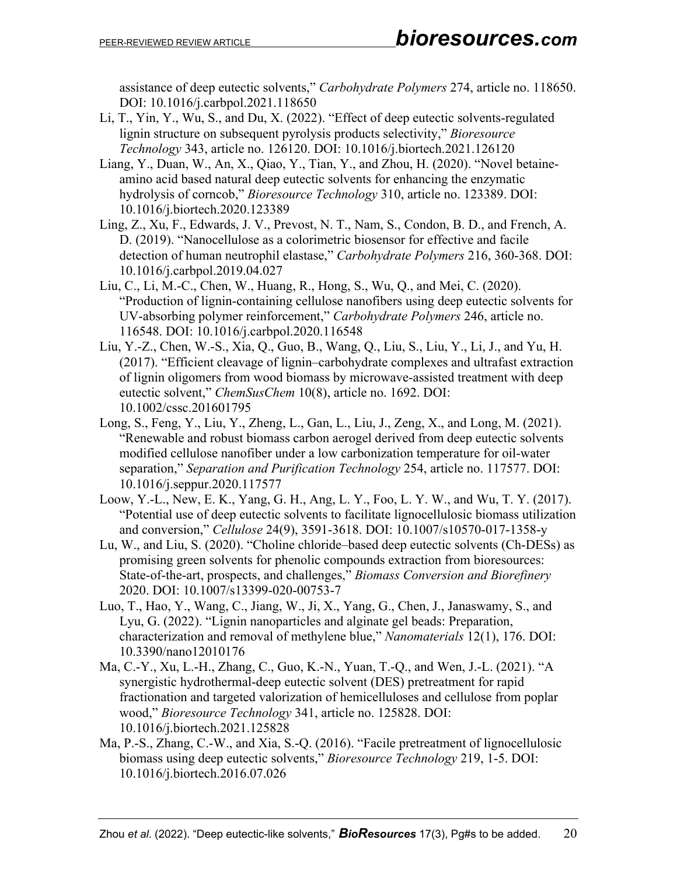assistance of deep eutectic solvents," *Carbohydrate Polymers* 274, article no. 118650. DOI: 10.1016/j.carbpol.2021.118650

- Li, T., Yin, Y., Wu, S., and Du, X. (2022). "Effect of deep eutectic solvents-regulated lignin structure on subsequent pyrolysis products selectivity," *Bioresource Technology* 343, article no. 126120. DOI: 10.1016/j.biortech.2021.126120
- Liang, Y., Duan, W., An, X., Qiao, Y., Tian, Y., and Zhou, H. (2020). "Novel betaineamino acid based natural deep eutectic solvents for enhancing the enzymatic hydrolysis of corncob," *Bioresource Technology* 310, article no. 123389. DOI: 10.1016/j.biortech.2020.123389
- Ling, Z., Xu, F., Edwards, J. V., Prevost, N. T., Nam, S., Condon, B. D., and French, A. D. (2019). "Nanocellulose as a colorimetric biosensor for effective and facile detection of human neutrophil elastase," *Carbohydrate Polymers* 216, 360-368. DOI: 10.1016/j.carbpol.2019.04.027
- Liu, C., Li, M.-C., Chen, W., Huang, R., Hong, S., Wu, Q., and Mei, C. (2020). "Production of lignin-containing cellulose nanofibers using deep eutectic solvents for UV-absorbing polymer reinforcement," *Carbohydrate Polymers* 246, article no. 116548. DOI: 10.1016/j.carbpol.2020.116548
- Liu, Y.-Z., Chen, W.-S., Xia, Q., Guo, B., Wang, Q., Liu, S., Liu, Y., Li, J., and Yu, H. (2017). "Efficient cleavage of lignin–carbohydrate complexes and ultrafast extraction of lignin oligomers from wood biomass by microwave‐assisted treatment with deep eutectic solvent," *ChemSusChem* 10(8), article no. 1692. DOI: 10.1002/cssc.201601795
- Long, S., Feng, Y., Liu, Y., Zheng, L., Gan, L., Liu, J., Zeng, X., and Long, M. (2021). "Renewable and robust biomass carbon aerogel derived from deep eutectic solvents modified cellulose nanofiber under a low carbonization temperature for oil-water separation," *Separation and Purification Technology* 254, article no. 117577. DOI: 10.1016/j.seppur.2020.117577
- Loow, Y.-L., New, E. K., Yang, G. H., Ang, L. Y., Foo, L. Y. W., and Wu, T. Y. (2017). "Potential use of deep eutectic solvents to facilitate lignocellulosic biomass utilization and conversion," *Cellulose* 24(9), 3591-3618. DOI: 10.1007/s10570-017-1358-y
- Lu, W., and Liu, S. (2020). "Choline chloride–based deep eutectic solvents (Ch-DESs) as promising green solvents for phenolic compounds extraction from bioresources: State-of-the-art, prospects, and challenges," *Biomass Conversion and Biorefinery* 2020. DOI: 10.1007/s13399-020-00753-7
- Luo, T., Hao, Y., Wang, C., Jiang, W., Ji, X., Yang, G., Chen, J., Janaswamy, S., and Lyu, G. (2022). "Lignin nanoparticles and alginate gel beads: Preparation, characterization and removal of methylene blue," *Nanomaterials* 12(1), 176. DOI: 10.3390/nano12010176
- Ma, C.-Y., Xu, L.-H., Zhang, C., Guo, K.-N., Yuan, T.-Q., and Wen, J.-L. (2021). "A synergistic hydrothermal-deep eutectic solvent (DES) pretreatment for rapid fractionation and targeted valorization of hemicelluloses and cellulose from poplar wood," *Bioresource Technology* 341, article no. 125828. DOI: 10.1016/j.biortech.2021.125828
- Ma, P.-S., Zhang, C.-W., and Xia, S.-Q. (2016). "Facile pretreatment of lignocellulosic biomass using deep eutectic solvents," *Bioresource Technology* 219, 1-5. DOI: 10.1016/j.biortech.2016.07.026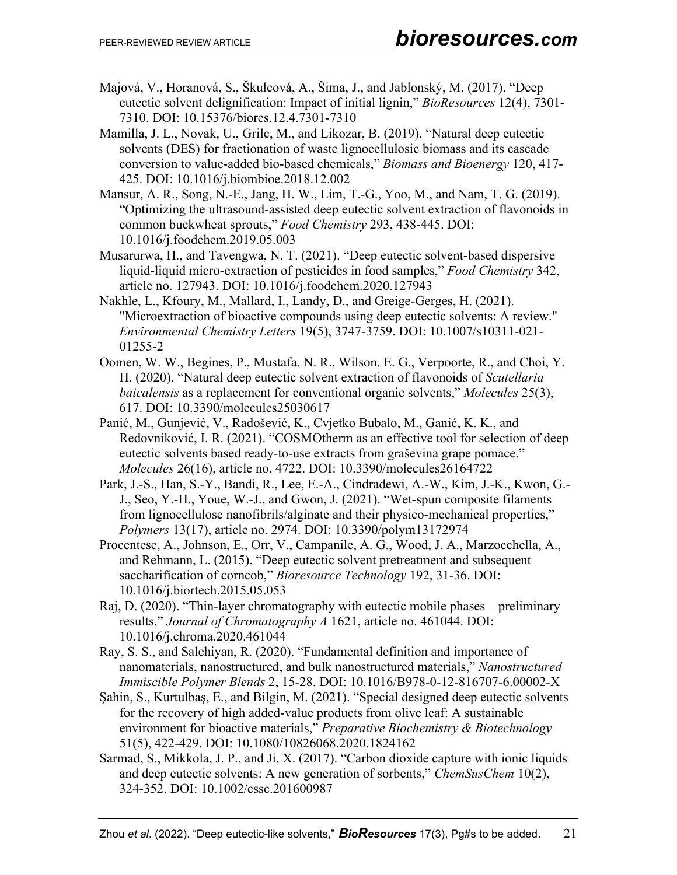- Majová, V., Horanová, S., Škulcová, A., Šima, J., and Jablonský, M. (2017). "Deep eutectic solvent delignification: Impact of initial lignin," *BioResources* 12(4), 7301- 7310. DOI: 10.15376/biores.12.4.7301-7310
- Mamilla, J. L., Novak, U., Grilc, M., and Likozar, B. (2019). "Natural deep eutectic solvents (DES) for fractionation of waste lignocellulosic biomass and its cascade conversion to value-added bio-based chemicals," *Biomass and Bioenergy* 120, 417- 425. DOI: 10.1016/j.biombioe.2018.12.002
- Mansur, A. R., Song, N.-E., Jang, H. W., Lim, T.-G., Yoo, M., and Nam, T. G. (2019). "Optimizing the ultrasound-assisted deep eutectic solvent extraction of flavonoids in common buckwheat sprouts," *Food Chemistry* 293, 438-445. DOI: 10.1016/j.foodchem.2019.05.003
- Musarurwa, H., and Tavengwa, N. T. (2021). "Deep eutectic solvent-based dispersive liquid-liquid micro-extraction of pesticides in food samples," *Food Chemistry* 342, article no. 127943. DOI: 10.1016/j.foodchem.2020.127943
- Nakhle, L., Kfoury, M., Mallard, I., Landy, D., and Greige-Gerges, H. (2021). "Microextraction of bioactive compounds using deep eutectic solvents: A review." *Environmental Chemistry Letters* 19(5), 3747-3759. DOI: 10.1007/s10311-021- 01255-2
- Oomen, W. W., Begines, P., Mustafa, N. R., Wilson, E. G., Verpoorte, R., and Choi, Y. H. (2020). "Natural deep eutectic solvent extraction of flavonoids of *Scutellaria baicalensis* as a replacement for conventional organic solvents," *Molecules* 25(3), 617. DOI: 10.3390/molecules25030617
- Panić, M., Gunjević, V., Radošević, K., Cvjetko Bubalo, M., Ganić, K. K., and Redovniković, I. R. (2021). "COSMOtherm as an effective tool for selection of deep eutectic solvents based ready-to-use extracts from graševina grape pomace," *Molecules* 26(16), article no. 4722. DOI: 10.3390/molecules26164722
- Park, J.-S., Han, S.-Y., Bandi, R., Lee, E.-A., Cindradewi, A.-W., Kim, J.-K., Kwon, G.- J., Seo, Y.-H., Youe, W.-J., and Gwon, J. (2021). "Wet-spun composite filaments from lignocellulose nanofibrils/alginate and their physico-mechanical properties," *Polymers* 13(17), article no. 2974. DOI: 10.3390/polym13172974
- Procentese, A., Johnson, E., Orr, V., Campanile, A. G., Wood, J. A., Marzocchella, A., and Rehmann, L. (2015). "Deep eutectic solvent pretreatment and subsequent saccharification of corncob," *Bioresource Technology* 192, 31-36. DOI: 10.1016/j.biortech.2015.05.053
- Raj, D. (2020). "Thin-layer chromatography with eutectic mobile phases—preliminary results," *Journal of Chromatography A* 1621, article no. 461044. DOI: 10.1016/j.chroma.2020.461044
- Ray, S. S., and Salehiyan, R. (2020). "Fundamental definition and importance of nanomaterials, nanostructured, and bulk nanostructured materials," *Nanostructured Immiscible Polymer Blends* 2, 15-28. DOI: 10.1016/B978-0-12-816707-6.00002-X
- Şahin, S., Kurtulbaş, E., and Bilgin, M. (2021). "Special designed deep eutectic solvents for the recovery of high added-value products from olive leaf: A sustainable environment for bioactive materials," *Preparative Biochemistry & Biotechnology* 51(5), 422-429. DOI: 10.1080/10826068.2020.1824162
- Sarmad, S., Mikkola, J. P., and Ji, X. (2017). "Carbon dioxide capture with ionic liquids and deep eutectic solvents: A new generation of sorbents," *ChemSusChem* 10(2), 324-352. DOI: 10.1002/cssc.201600987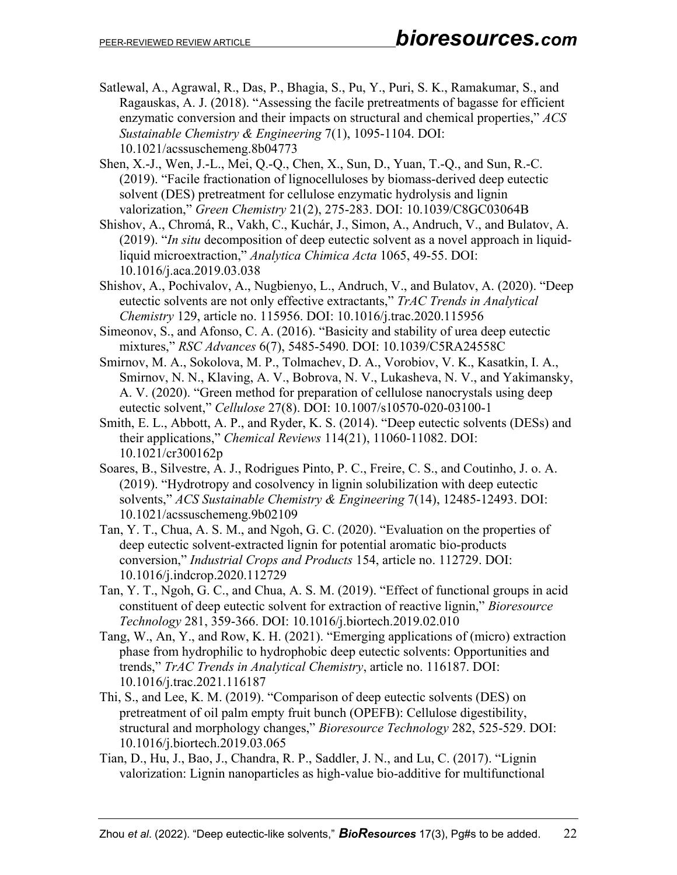- Satlewal, A., Agrawal, R., Das, P., Bhagia, S., Pu, Y., Puri, S. K., Ramakumar, S., and Ragauskas, A. J. (2018). "Assessing the facile pretreatments of bagasse for efficient enzymatic conversion and their impacts on structural and chemical properties," *ACS Sustainable Chemistry & Engineering* 7(1), 1095-1104. DOI: 10.1021/acssuschemeng.8b04773
- Shen, X.-J., Wen, J.-L., Mei, Q.-Q., Chen, X., Sun, D., Yuan, T.-Q., and Sun, R.-C. (2019). "Facile fractionation of lignocelluloses by biomass-derived deep eutectic solvent (DES) pretreatment for cellulose enzymatic hydrolysis and lignin valorization," *Green Chemistry* 21(2), 275-283. DOI: 10.1039/C8GC03064B
- Shishov, A., Chromá, R., Vakh, C., Kuchár, J., Simon, A., Andruch, V., and Bulatov, A. (2019). "*In situ* decomposition of deep eutectic solvent as a novel approach in liquidliquid microextraction," *Analytica Chimica Acta* 1065, 49-55. DOI: 10.1016/j.aca.2019.03.038
- Shishov, A., Pochivalov, A., Nugbienyo, L., Andruch, V., and Bulatov, A. (2020). "Deep eutectic solvents are not only effective extractants," *TrAC Trends in Analytical Chemistry* 129, article no. 115956. DOI: 10.1016/j.trac.2020.115956
- Simeonov, S., and Afonso, C. A. (2016). "Basicity and stability of urea deep eutectic mixtures," *RSC Advances* 6(7), 5485-5490. DOI: 10.1039/C5RA24558C
- Smirnov, M. A., Sokolova, M. P., Tolmachev, D. A., Vorobiov, V. K., Kasatkin, I. A., Smirnov, N. N., Klaving, A. V., Bobrova, N. V., Lukasheva, N. V., and Yakimansky, A. V. (2020). "Green method for preparation of cellulose nanocrystals using deep eutectic solvent," *Cellulose* 27(8). DOI: 10.1007/s10570-020-03100-1
- Smith, E. L., Abbott, A. P., and Ryder, K. S. (2014). "Deep eutectic solvents (DESs) and their applications," *Chemical Reviews* 114(21), 11060-11082. DOI: 10.1021/cr300162p
- Soares, B., Silvestre, A. J., Rodrigues Pinto, P. C., Freire, C. S., and Coutinho, J. o. A. (2019). "Hydrotropy and cosolvency in lignin solubilization with deep eutectic solvents," *ACS Sustainable Chemistry & Engineering* 7(14), 12485-12493. DOI: 10.1021/acssuschemeng.9b02109
- Tan, Y. T., Chua, A. S. M., and Ngoh, G. C. (2020). "Evaluation on the properties of deep eutectic solvent-extracted lignin for potential aromatic bio-products conversion," *Industrial Crops and Products* 154, article no. 112729. DOI: 10.1016/j.indcrop.2020.112729
- Tan, Y. T., Ngoh, G. C., and Chua, A. S. M. (2019). "Effect of functional groups in acid constituent of deep eutectic solvent for extraction of reactive lignin," *Bioresource Technology* 281, 359-366. DOI: 10.1016/j.biortech.2019.02.010
- Tang, W., An, Y., and Row, K. H. (2021). "Emerging applications of (micro) extraction phase from hydrophilic to hydrophobic deep eutectic solvents: Opportunities and trends," *TrAC Trends in Analytical Chemistry*, article no. 116187. DOI: 10.1016/j.trac.2021.116187
- Thi, S., and Lee, K. M. (2019). "Comparison of deep eutectic solvents (DES) on pretreatment of oil palm empty fruit bunch (OPEFB): Cellulose digestibility, structural and morphology changes," *Bioresource Technology* 282, 525-529. DOI: 10.1016/j.biortech.2019.03.065
- Tian, D., Hu, J., Bao, J., Chandra, R. P., Saddler, J. N., and Lu, C. (2017). "Lignin valorization: Lignin nanoparticles as high-value bio-additive for multifunctional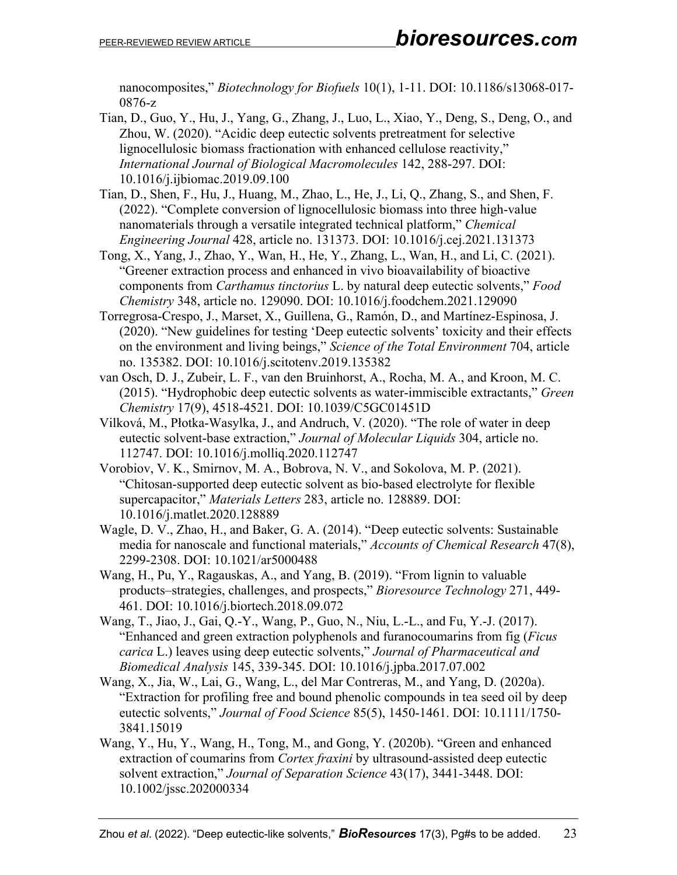nanocomposites," *Biotechnology for Biofuels* 10(1), 1-11. DOI: 10.1186/s13068-017- 0876-z

- Tian, D., Guo, Y., Hu, J., Yang, G., Zhang, J., Luo, L., Xiao, Y., Deng, S., Deng, O., and Zhou, W. (2020). "Acidic deep eutectic solvents pretreatment for selective lignocellulosic biomass fractionation with enhanced cellulose reactivity," *International Journal of Biological Macromolecules* 142, 288-297. DOI: 10.1016/j.ijbiomac.2019.09.100
- Tian, D., Shen, F., Hu, J., Huang, M., Zhao, L., He, J., Li, Q., Zhang, S., and Shen, F. (2022). "Complete conversion of lignocellulosic biomass into three high-value nanomaterials through a versatile integrated technical platform," *Chemical Engineering Journal* 428, article no. 131373. DOI: 10.1016/j.cej.2021.131373
- Tong, X., Yang, J., Zhao, Y., Wan, H., He, Y., Zhang, L., Wan, H., and Li, C. (2021). "Greener extraction process and enhanced in vivo bioavailability of bioactive components from *Carthamus tinctorius* L. by natural deep eutectic solvents," *Food Chemistry* 348, article no. 129090. DOI: 10.1016/j.foodchem.2021.129090
- Torregrosa-Crespo, J., Marset, X., Guillena, G., Ramón, D., and Martínez-Espinosa, J. (2020). "New guidelines for testing 'Deep eutectic solvents' toxicity and their effects on the environment and living beings," *Science of the Total Environment* 704, article no. 135382. DOI: 10.1016/j.scitotenv.2019.135382
- van Osch, D. J., Zubeir, L. F., van den Bruinhorst, A., Rocha, M. A., and Kroon, M. C. (2015). "Hydrophobic deep eutectic solvents as water-immiscible extractants," *Green Chemistry* 17(9), 4518-4521. DOI: 10.1039/C5GC01451D
- Vilková, M., Płotka-Wasylka, J., and Andruch, V. (2020). "The role of water in deep eutectic solvent-base extraction," *Journal of Molecular Liquids* 304, article no. 112747. DOI: 10.1016/j.molliq.2020.112747
- Vorobiov, V. K., Smirnov, M. A., Bobrova, N. V., and Sokolova, M. P. (2021). "Chitosan-supported deep eutectic solvent as bio-based electrolyte for flexible supercapacitor," *Materials Letters* 283, article no. 128889. DOI: 10.1016/j.matlet.2020.128889
- Wagle, D. V., Zhao, H., and Baker, G. A. (2014). "Deep eutectic solvents: Sustainable media for nanoscale and functional materials," *Accounts of Chemical Research* 47(8), 2299-2308. DOI: 10.1021/ar5000488
- Wang, H., Pu, Y., Ragauskas, A., and Yang, B. (2019). "From lignin to valuable products–strategies, challenges, and prospects," *Bioresource Technology* 271, 449- 461. DOI: 10.1016/j.biortech.2018.09.072
- Wang, T., Jiao, J., Gai, Q.-Y., Wang, P., Guo, N., Niu, L.-L., and Fu, Y.-J. (2017). "Enhanced and green extraction polyphenols and furanocoumarins from fig (*Ficus carica* L.) leaves using deep eutectic solvents," *Journal of Pharmaceutical and Biomedical Analysis* 145, 339-345. DOI: 10.1016/j.jpba.2017.07.002
- Wang, X., Jia, W., Lai, G., Wang, L., del Mar Contreras, M., and Yang, D. (2020a). "Extraction for profiling free and bound phenolic compounds in tea seed oil by deep eutectic solvents," *Journal of Food Science* 85(5), 1450-1461. DOI: 10.1111/1750- 3841.15019
- Wang, Y., Hu, Y., Wang, H., Tong, M., and Gong, Y. (2020b). "Green and enhanced extraction of coumarins from *Cortex fraxini* by ultrasound-assisted deep eutectic solvent extraction," *Journal of Separation Science* 43(17), 3441-3448. DOI: 10.1002/jssc.202000334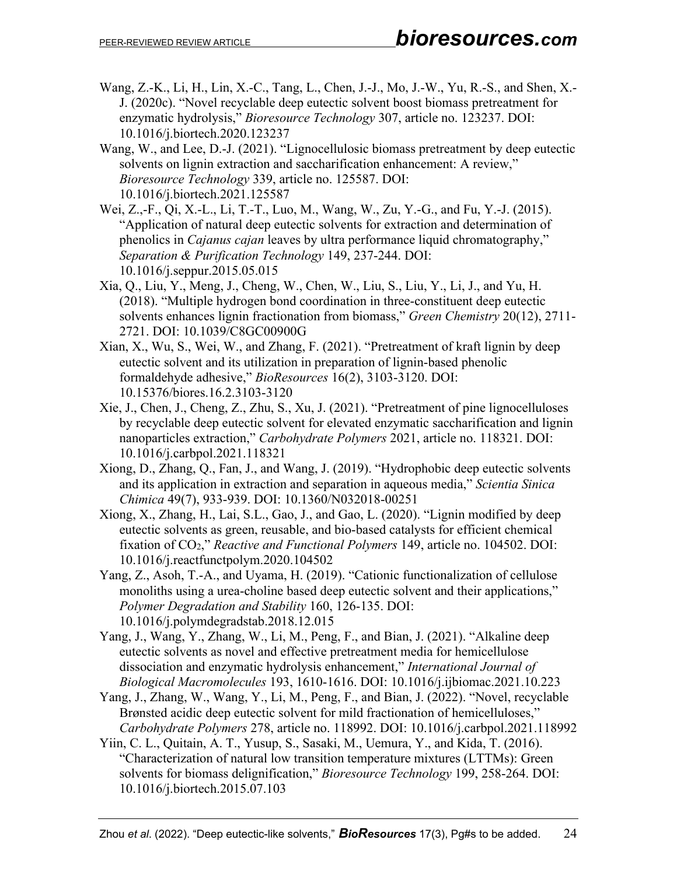- Wang, Z.-K., Li, H., Lin, X.-C., Tang, L., Chen, J.-J., Mo, J.-W., Yu, R.-S., and Shen, X.- J. (2020c). "Novel recyclable deep eutectic solvent boost biomass pretreatment for enzymatic hydrolysis," *Bioresource Technology* 307, article no. 123237. DOI: 10.1016/j.biortech.2020.123237
- Wang, W., and Lee, D.-J. (2021). "Lignocellulosic biomass pretreatment by deep eutectic solvents on lignin extraction and saccharification enhancement: A review," *Bioresource Technology* 339, article no. 125587. DOI: 10.1016/j.biortech.2021.125587
- Wei, Z.,-F., Qi, X.-L., Li, T.-T., Luo, M., Wang, W., Zu, Y.-G., and Fu, Y.-J. (2015). "Application of natural deep eutectic solvents for extraction and determination of phenolics in *Cajanus cajan* leaves by ultra performance liquid chromatography," *Separation & Purification Technology* 149, 237-244. DOI: 10.1016/j.seppur.2015.05.015
- Xia, Q., Liu, Y., Meng, J., Cheng, W., Chen, W., Liu, S., Liu, Y., Li, J., and Yu, H. (2018). "Multiple hydrogen bond coordination in three-constituent deep eutectic solvents enhances lignin fractionation from biomass," *Green Chemistry* 20(12), 2711- 2721. DOI: 10.1039/C8GC00900G
- Xian, X., Wu, S., Wei, W., and Zhang, F. (2021). "Pretreatment of kraft lignin by deep eutectic solvent and its utilization in preparation of lignin-based phenolic formaldehyde adhesive," *BioResources* 16(2), 3103-3120. DOI: 10.15376/biores.16.2.3103-3120
- Xie, J., Chen, J., Cheng, Z., Zhu, S., Xu, J. (2021). "Pretreatment of pine lignocelluloses by recyclable deep eutectic solvent for elevated enzymatic saccharification and lignin nanoparticles extraction," *Carbohydrate Polymers* 2021, article no. 118321. DOI: 10.1016/j.carbpol.2021.118321
- Xiong, D., Zhang, Q., Fan, J., and Wang, J. (2019). "Hydrophobic deep eutectic solvents and its application in extraction and separation in aqueous media," *Scientia Sinica Chimica* 49(7), 933-939. DOI: 10.1360/N032018-00251
- Xiong, X., Zhang, H., Lai, S.L., Gao, J., and Gao, L. (2020). "Lignin modified by deep eutectic solvents as green, reusable, and bio-based catalysts for efficient chemical fixation of CO2," *Reactive and Functional Polymers* 149, article no. 104502. DOI: 10.1016/j.reactfunctpolym.2020.104502
- Yang, Z., Asoh, T.-A., and Uyama, H. (2019). "Cationic functionalization of cellulose monoliths using a urea-choline based deep eutectic solvent and their applications," *Polymer Degradation and Stability* 160, 126-135. DOI: 10.1016/j.polymdegradstab.2018.12.015
- Yang, J., Wang, Y., Zhang, W., Li, M., Peng, F., and Bian, J. (2021). "Alkaline deep eutectic solvents as novel and effective pretreatment media for hemicellulose dissociation and enzymatic hydrolysis enhancement," *International Journal of Biological Macromolecules* 193, 1610-1616. DOI: 10.1016/j.ijbiomac.2021.10.223
- Yang, J., Zhang, W., Wang, Y., Li, M., Peng, F., and Bian, J. (2022). "Novel, recyclable Brønsted acidic deep eutectic solvent for mild fractionation of hemicelluloses," *Carbohydrate Polymers* 278, article no. 118992. DOI: 10.1016/j.carbpol.2021.118992
- Yiin, C. L., Quitain, A. T., Yusup, S., Sasaki, M., Uemura, Y., and Kida, T. (2016). "Characterization of natural low transition temperature mixtures (LTTMs): Green solvents for biomass delignification," *Bioresource Technology* 199, 258-264. DOI: 10.1016/j.biortech.2015.07.103